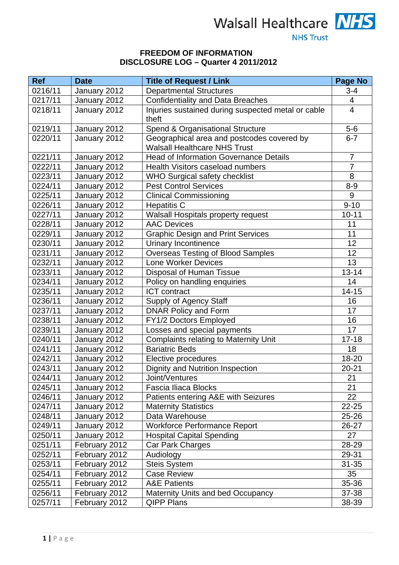

## **FREEDOM OF INFORMATION DISCLOSURE LOG – Quarter 4 2011/2012**

| <b>Ref</b> | <b>Date</b>   | <b>Title of Request / Link</b>                                                    | Page No        |
|------------|---------------|-----------------------------------------------------------------------------------|----------------|
| 0216/11    | January 2012  | <b>Departmental Structures</b>                                                    | $3 - 4$        |
| 0217/11    | January 2012  | <b>Confidentiality and Data Breaches</b>                                          | 4              |
| 0218/11    | January 2012  | Injuries sustained during suspected metal or cable<br>theft                       | $\overline{4}$ |
| 0219/11    | January 2012  | Spend & Organisational Structure                                                  | $5-6$          |
| 0220/11    | January 2012  | Geographical area and postcodes covered by<br><b>Walsall Healthcare NHS Trust</b> | $6 - 7$        |
| 0221/11    | January 2012  | <b>Head of Information Governance Details</b>                                     | $\overline{7}$ |
| 0222/11    | January 2012  | Health Visitors caseload numbers                                                  | $\overline{7}$ |
| 0223/11    | January 2012  | <b>WHO Surgical safety checklist</b>                                              | $\overline{8}$ |
| 0224/11    | January 2012  | <b>Pest Control Services</b>                                                      | $8-9$          |
| 0225/11    | January 2012  | <b>Clinical Commissioning</b>                                                     | 9              |
| 0226/11    | January 2012  | <b>Hepatitis C</b>                                                                | $9 - 10$       |
| 0227/11    | January 2012  | <b>Walsall Hospitals property request</b>                                         | $10 - 11$      |
| 0228/11    | January 2012  | <b>AAC Devices</b>                                                                | 11             |
| 0229/11    | January 2012  | <b>Graphic Design and Print Services</b>                                          | 11             |
| 0230/11    | January 2012  | Urinary Incontinence                                                              | 12             |
| 0231/11    | January 2012  | <b>Overseas Testing of Blood Samples</b>                                          | 12             |
| 0232/11    | January 2012  | <b>Lone Worker Devices</b>                                                        | 13             |
| 0233/11    | January 2012  | <b>Disposal of Human Tissue</b>                                                   | $13 - 14$      |
| 0234/11    | January 2012  | Policy on handling enquiries                                                      | 14             |
| 0235/11    | January 2012  | <b>ICT</b> contract                                                               | $14 - 15$      |
| 0236/11    | January 2012  | <b>Supply of Agency Staff</b>                                                     | 16             |
| 0237/11    | January 2012  | <b>DNAR Policy and Form</b>                                                       | 17             |
| 0238/11    | January 2012  | FY1/2 Doctors Employed                                                            | 16             |
| 0239/11    | January 2012  | Losses and special payments                                                       | 17             |
| 0240/11    | January 2012  | <b>Complaints relating to Maternity Unit</b>                                      | $17 - 18$      |
| 0241/11    | January 2012  | <b>Bariatric Beds</b>                                                             | 18             |
| 0242/11    | January 2012  | Elective procedures                                                               | 18-20          |
| 0243/11    | January 2012  | Dignity and Nutrition Inspection                                                  | $20 - 21$      |
| 0244/11    | January 2012  | Joint/Ventures                                                                    | 21             |
| 0245/11    | January 2012  | Fascia Iliaca Blocks                                                              | 21             |
| 0246/11    | January 2012  | Patients entering A&E with Seizures                                               | 22             |
| 0247/11    | January 2012  | <b>Maternity Statistics</b>                                                       | 22-25          |
| 0248/11    | January 2012  | Data Warehouse                                                                    | 25-26          |
| 0249/11    | January 2012  | <b>Workforce Performance Report</b>                                               | 26-27          |
| 0250/11    | January 2012  | <b>Hospital Capital Spending</b>                                                  | 27             |
| 0251/11    | February 2012 | Car Park Charges                                                                  | 28-29          |
| 0252/11    | February 2012 | Audiology                                                                         | 29-31          |
| 0253/11    | February 2012 | <b>Steis System</b>                                                               | $31 - 35$      |
| 0254/11    | February 2012 | <b>Case Review</b>                                                                | 35             |
| 0255/11    | February 2012 | <b>A&amp;E Patients</b>                                                           | 35-36          |
| 0256/11    | February 2012 | <b>Maternity Units and bed Occupancy</b>                                          | 37-38          |
| 0257/11    | February 2012 | <b>QIPP Plans</b>                                                                 | 38-39          |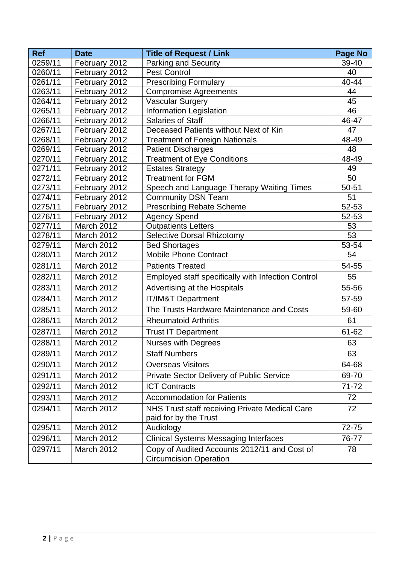| <b>Ref</b>         | <b>Date</b>                    | <b>Title of Request / Link</b>                                                | Page No     |
|--------------------|--------------------------------|-------------------------------------------------------------------------------|-------------|
| 0259/11            | February 2012                  | <b>Parking and Security</b>                                                   | 39-40       |
| 0260/11            | February 2012                  | <b>Pest Control</b>                                                           | 40          |
| 0261/11            | February 2012                  | <b>Prescribing Formulary</b>                                                  | 40-44       |
| 0263/11            | February 2012                  | <b>Compromise Agreements</b>                                                  | 44          |
| 0264/11            | February 2012                  | <b>Vascular Surgery</b>                                                       | 45          |
| 0265/11            | February 2012                  | Information Legislation                                                       | 46          |
| 0266/11            | February 2012                  | <b>Salaries of Staff</b>                                                      | 46-47       |
| 0267/11            | February 2012                  | Deceased Patients without Next of Kin                                         | 47          |
| 0268/11            | February 2012                  | <b>Treatment of Foreign Nationals</b>                                         | 48-49       |
| 0269/11            | February 2012                  | <b>Patient Discharges</b>                                                     | 48          |
| 0270/11            | February 2012                  | <b>Treatment of Eye Conditions</b>                                            | 48-49       |
| 0271/11            | February 2012                  | <b>Estates Strategy</b>                                                       | 49          |
| 0272/11            | February 2012                  | <b>Treatment for FGM</b>                                                      | 50          |
| 0273/11<br>0274/11 | February 2012<br>February 2012 | Speech and Language Therapy Waiting Times<br><b>Community DSN Team</b>        | 50-51<br>51 |
| 0275/11            | February 2012                  | <b>Prescribing Rebate Scheme</b>                                              | 52-53       |
| 0276/11            | February 2012                  | <b>Agency Spend</b>                                                           | 52-53       |
| 0277/11            | March 2012                     | Outpatients Letters                                                           | 53          |
| 0278/11            | March 2012                     | <b>Selective Dorsal Rhizotomy</b>                                             | 53          |
| 0279/11            | March 2012                     | <b>Bed Shortages</b>                                                          | 53-54       |
| 0280/11            | March 2012                     | <b>Mobile Phone Contract</b>                                                  | 54          |
| 0281/11            | March 2012                     | <b>Patients Treated</b>                                                       | 54-55       |
| 0282/11            | <b>March 2012</b>              | Employed staff specifically with Infection Control                            | 55          |
| 0283/11            | March 2012                     | Advertising at the Hospitals                                                  | 55-56       |
| 0284/11            | March 2012                     | <b>IT/IM&amp;T Department</b>                                                 | 57-59       |
| 0285/11            | March 2012                     | The Trusts Hardware Maintenance and Costs                                     | 59-60       |
| 0286/11            | March 2012                     | <b>Rheumatoid Arthritis</b>                                                   | 61          |
| 0287/11            | March 2012                     | <b>Trust IT Department</b>                                                    | 61-62       |
| 0288/11            | March 2012                     | <b>Nurses with Degrees</b>                                                    | 63          |
| 0289/11            | <b>March 2012</b>              | <b>Staff Numbers</b>                                                          | 63          |
| 0290/11            | March 2012                     | <b>Overseas Visitors</b>                                                      | 64-68       |
| 0291/11            | March 2012                     | Private Sector Delivery of Public Service                                     | 69-70       |
| 0292/11            | March 2012                     | <b>ICT Contracts</b>                                                          | $71 - 72$   |
| 0293/11            | <b>March 2012</b>              | <b>Accommodation for Patients</b>                                             | 72          |
| 0294/11            | March 2012                     | NHS Trust staff receiving Private Medical Care<br>paid for by the Trust       | 72          |
| 0295/11            | March 2012                     | Audiology                                                                     |             |
| 0296/11            | March 2012                     | <b>Clinical Systems Messaging Interfaces</b>                                  | 76-77       |
| 0297/11            | March 2012                     | Copy of Audited Accounts 2012/11 and Cost of<br><b>Circumcision Operation</b> | 78          |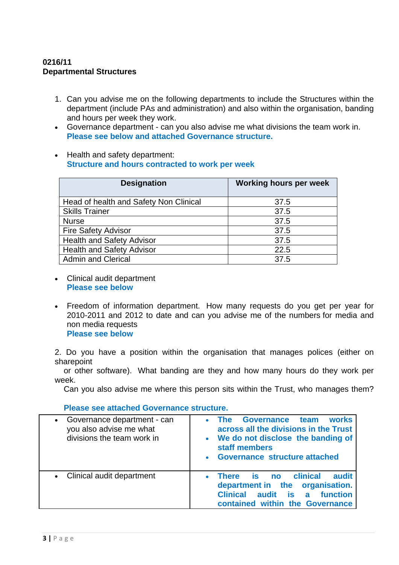# **0216/11 Departmental Structures**

- 1. Can you advise me on the following departments to include the Structures within the department (include PAs and administration) and also within the organisation, banding and hours per week they work.
- Governance department can you also advise me what divisions the team work in. **Please see below and attached Governance structure.**
- Health and safety department: **Structure and hours contracted to work per week**

| <b>Designation</b>                     | <b>Working hours per week</b> |
|----------------------------------------|-------------------------------|
| Head of health and Safety Non Clinical | 37.5                          |
| <b>Skills Trainer</b>                  | 37.5                          |
| <b>Nurse</b>                           | 37.5                          |
| <b>Fire Safety Advisor</b>             | 37.5                          |
| <b>Health and Safety Advisor</b>       | 37.5                          |
| <b>Health and Safety Advisor</b>       | 22.5                          |
| <b>Admin and Clerical</b>              | 37.5                          |

- Clinical audit department **Please see below**
- Freedom of information department. How many requests do you get per year for 2010-2011 and 2012 to date and can you advise me of the numbers for media and non media requests **Please see below**

2. Do you have a position within the organisation that manages polices (either on sharepoint

 or other software). What banding are they and how many hours do they work per week.

Can you also advise me where this person sits within the Trust, who manages them?

 **Please see attached Governance structure.** 

| Governance department - can<br>$\bullet$<br>you also advise me what<br>divisions the team work in | Governance team<br><b>works</b><br><b>The</b><br>across all the divisions in the Trust<br>• We do not disclose the banding of<br>staff members<br>• Governance structure attached |  |  |  |  |
|---------------------------------------------------------------------------------------------------|-----------------------------------------------------------------------------------------------------------------------------------------------------------------------------------|--|--|--|--|
| Clinical audit department<br>$\bullet$                                                            | clinical<br>audit<br><b>There</b><br>is no<br>department in the organisation.<br><b>Clinical</b><br>audit<br>a function<br>is<br>contained within the Governance                  |  |  |  |  |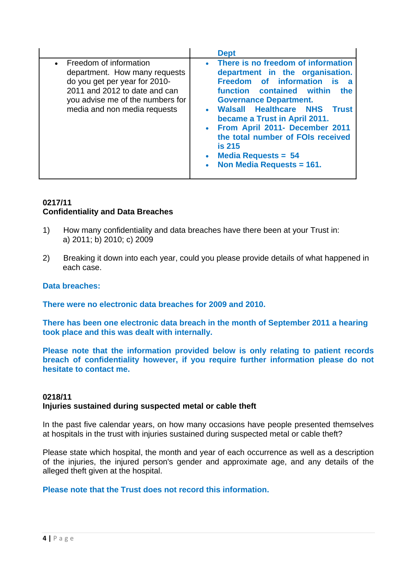|                                                                                                                                                                                                 | <b>Dept</b>                                                                                                                                                                                                                                                                                                                                                                                                                                                 |
|-------------------------------------------------------------------------------------------------------------------------------------------------------------------------------------------------|-------------------------------------------------------------------------------------------------------------------------------------------------------------------------------------------------------------------------------------------------------------------------------------------------------------------------------------------------------------------------------------------------------------------------------------------------------------|
| • Freedom of information<br>department. How many requests<br>do you get per year for 2010-<br>2011 and 2012 to date and can<br>you advise me of the numbers for<br>media and non media requests | • There is no freedom of information<br>department in the organisation.<br>Freedom of information<br><b>is</b><br>a<br>function contained within<br>the<br><b>Governance Department.</b><br>• Walsall Healthcare NHS<br><b>Trust</b><br>became a Trust in April 2011.<br>• From April 2011- December 2011<br>the total number of FOIs received<br><b>is 215</b><br><b>Media Requests = 54</b><br>$\bullet$<br><b>Non Media Requests = 161.</b><br>$\bullet$ |

## **0217/11 Confidentiality and Data Breaches**

- 1) How many confidentiality and data breaches have there been at your Trust in: a) 2011; b) 2010; c) 2009
- 2) Breaking it down into each year, could you please provide details of what happened in each case.

### **Data breaches:**

**There were no electronic data breaches for 2009 and 2010.** 

**There has been one electronic data breach in the month of September 2011 a hearing took place and this was dealt with internally.** 

**Please note that the information provided below is only relating to patient records breach of confidentiality however, if you require further information please do not hesitate to contact me.** 

# **0218/11 Injuries sustained during suspected metal or cable theft**

In the past five calendar years, on how many occasions have people presented themselves at hospitals in the trust with injuries sustained during suspected metal or cable theft?

Please state which hospital, the month and year of each occurrence as well as a description of the injuries, the injured person's gender and approximate age, and any details of the alleged theft given at the hospital.

# **Please note that the Trust does not record this information.**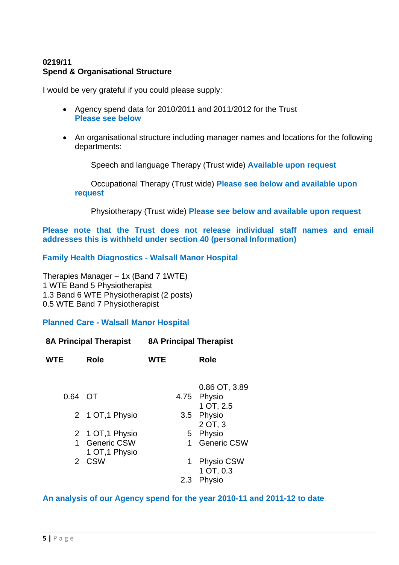# **0219/11 Spend & Organisational Structure**

I would be very grateful if you could please supply:

- Agency spend data for 2010/2011 and 2011/2012 for the Trust **Please see below**
- An organisational structure including manager names and locations for the following departments:

Speech and language Therapy (Trust wide) **Available upon request**

Occupational Therapy (Trust wide) **Please see below and available upon request**

Physiotherapy (Trust wide) **Please see below and available upon request**

**Please note that the Trust does not release individual staff names and email addresses this is withheld under section 40 (personal Information)** 

**Family Health Diagnostics - Walsall Manor Hospital** 

Therapies Manager – 1x (Band 7 1WTE) 1 WTE Band 5 Physiotherapist 1.3 Band 6 WTE Physiotherapist (2 posts) 0.5 WTE Band 7 Physiotherapist

### **Planned Care - Walsall Manor Hospital**

| <b>8A Principal Therapist</b> |                                 | <b>8A Principal Therapist</b> |                                |  |
|-------------------------------|---------------------------------|-------------------------------|--------------------------------|--|
| <b>WTE</b><br>Role            |                                 | <b>WTE</b>                    | Role                           |  |
|                               |                                 |                               | 0.86 OT, 3.89                  |  |
| 0.64 OT                       |                                 |                               | 4.75 Physio                    |  |
|                               |                                 |                               | 1 OT, 2.5                      |  |
|                               | 2 1 OT, 1 Physio                |                               | 3.5 Physio<br>2 OT, 3          |  |
|                               | 2 1 OT, 1 Physio                |                               | 5 Physio                       |  |
|                               | 1 Generic CSW<br>1 OT, 1 Physio | $\mathbf 1$                   | <b>Generic CSW</b>             |  |
|                               | 2 CSW                           | 1                             | <b>Physio CSW</b><br>1 OT, 0.3 |  |
|                               |                                 | 2.3                           | Physio                         |  |

**An analysis of our Agency spend for the year 2010-11 and 2011-12 to date**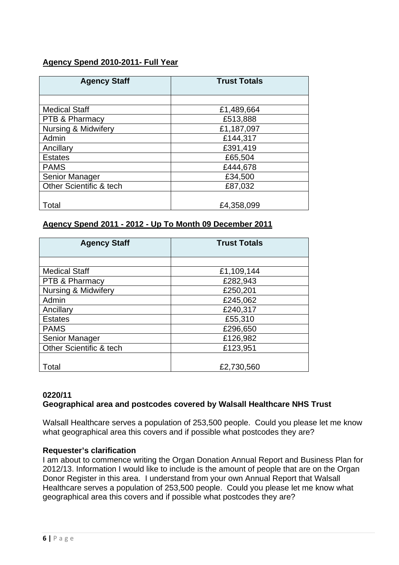# **Agency Spend 2010-2011- Full Year**

| <b>Agency Staff</b>            | <b>Trust Totals</b> |  |  |
|--------------------------------|---------------------|--|--|
|                                |                     |  |  |
| <b>Medical Staff</b>           | £1,489,664          |  |  |
| PTB & Pharmacy                 | £513,888            |  |  |
| <b>Nursing &amp; Midwifery</b> | £1,187,097          |  |  |
| Admin                          | £144,317            |  |  |
| Ancillary                      | £391,419            |  |  |
| <b>Estates</b>                 | £65,504             |  |  |
| <b>PAMS</b>                    | £444,678            |  |  |
| Senior Manager                 | £34,500             |  |  |
| Other Scientific & tech        | £87,032             |  |  |
|                                |                     |  |  |
| Total                          | £4,358,099          |  |  |

# **Agency Spend 2011 - 2012 - Up To Month 09 December 2011**

| <b>Agency Staff</b>            | <b>Trust Totals</b> |  |  |  |
|--------------------------------|---------------------|--|--|--|
|                                |                     |  |  |  |
| <b>Medical Staff</b>           | £1,109,144          |  |  |  |
| PTB & Pharmacy                 | £282,943            |  |  |  |
| <b>Nursing &amp; Midwifery</b> | £250,201            |  |  |  |
| Admin                          | £245,062            |  |  |  |
| Ancillary                      | £240,317            |  |  |  |
| <b>Estates</b>                 | £55,310             |  |  |  |
| <b>PAMS</b>                    | £296,650            |  |  |  |
| Senior Manager                 | £126,982            |  |  |  |
| Other Scientific & tech        | £123,951            |  |  |  |
|                                |                     |  |  |  |
| Total                          | £2,730,560          |  |  |  |

### **0220/11**

# **Geographical area and postcodes covered by Walsall Healthcare NHS Trust**

Walsall Healthcare serves a population of 253,500 people. Could you please let me know what geographical area this covers and if possible what postcodes they are?

### **Requester's clarification**

I am about to commence writing the Organ Donation Annual Report and Business Plan for 2012/13. Information I would like to include is the amount of people that are on the Organ Donor Register in this area. I understand from your own Annual Report that Walsall Healthcare serves a population of 253,500 people. Could you please let me know what geographical area this covers and if possible what postcodes they are?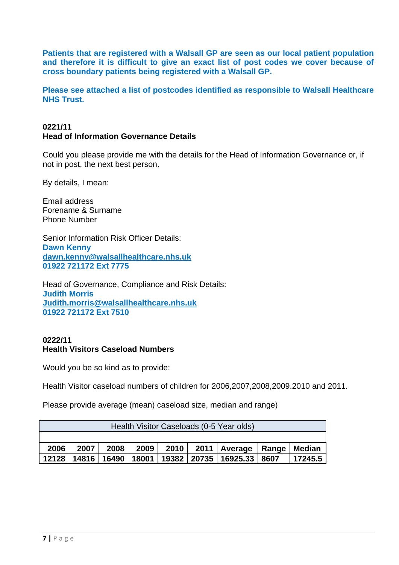**Patients that are registered with a Walsall GP are seen as our local patient population and therefore it is difficult to give an exact list of post codes we cover because of cross boundary patients being registered with a Walsall GP.** 

**Please see attached a list of postcodes identified as responsible to Walsall Healthcare NHS Trust.** 

# **0221/11 Head of Information Governance Details**

Could you please provide me with the details for the Head of Information Governance or, if not in post, the next best person.

By details, I mean:

Email address Forename & Surname Phone Number

Senior Information Risk Officer Details: **Dawn Kenny dawn.kenny@walsallhealthcare.nhs.uk 01922 721172 Ext 7775** 

Head of Governance, Compliance and Risk Details: **Judith Morris Judith.morris@walsallhealthcare.nhs.uk 01922 721172 Ext 7510** 

# **0222/11 Health Visitors Caseload Numbers**

Would you be so kind as to provide:

Health Visitor caseload numbers of children for 2006,2007,2008,2009.2010 and 2011.

Please provide average (mean) caseload size, median and range)

| Health Visitor Caseloads (0-5 Year olds)                                |                                                                    |  |  |  |  |  |  |  |  |  |
|-------------------------------------------------------------------------|--------------------------------------------------------------------|--|--|--|--|--|--|--|--|--|
|                                                                         |                                                                    |  |  |  |  |  |  |  |  |  |
| 2011   Average   Range   Median<br>2010<br>2006<br>2007<br>2009<br>2008 |                                                                    |  |  |  |  |  |  |  |  |  |
| 12128                                                                   | 14816   16490   18001   19382   20735   16925.33   8607<br>17245.5 |  |  |  |  |  |  |  |  |  |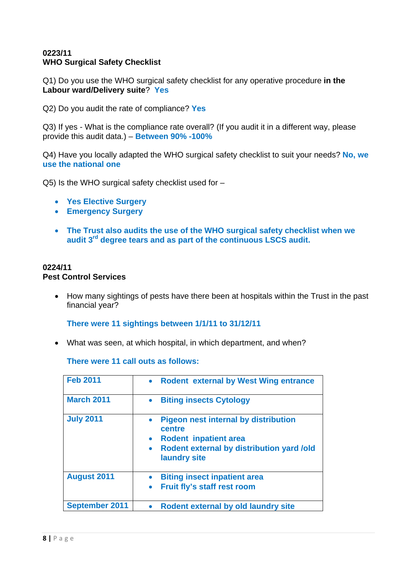## **0223/11 WHO Surgical Safety Checklist**

Q1) Do you use the WHO surgical safety checklist for any operative procedure **in the Labour ward/Delivery suite**? **Yes** 

Q2) Do you audit the rate of compliance? **Yes** 

Q3) If yes - What is the compliance rate overall? (If you audit it in a different way, please provide this audit data.) – **Between 90% -100%**

Q4) Have you locally adapted the WHO surgical safety checklist to suit your needs? **No, we use the national one** 

Q5) Is the WHO surgical safety checklist used for –

- **Yes Elective Surgery**
- **Emergency Surgery**
- **The Trust also audits the use of the WHO surgical safety checklist when we audit 3rd degree tears and as part of the continuous LSCS audit.**

#### **0224/11 Pest Control Services**

• How many sightings of pests have there been at hospitals within the Trust in the past financial year?

**There were 11 sightings between 1/1/11 to 31/12/11** 

• What was seen, at which hospital, in which department, and when?

| <b>Feb 2011</b>       | <b>Rodent external by West Wing entrance</b><br>$\bullet$                                                                                                       |
|-----------------------|-----------------------------------------------------------------------------------------------------------------------------------------------------------------|
| <b>March 2011</b>     | <b>Biting insects Cytology</b>                                                                                                                                  |
| <b>July 2011</b>      | <b>Pigeon nest internal by distribution</b><br>centre<br><b>Rodent inpatient area</b><br>Rodent external by distribution yard /old<br>$\bullet$<br>laundry site |
| <b>August 2011</b>    | <b>Biting insect inpatient area</b><br>Fruit fly's staff rest room                                                                                              |
| <b>September 2011</b> | Rodent external by old laundry site                                                                                                                             |

**There were 11 call outs as follows:**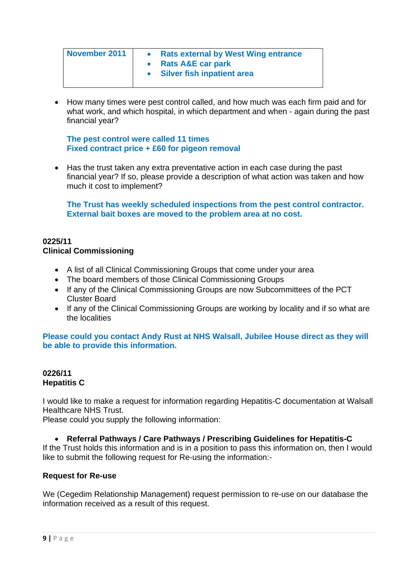| <b>November 2011</b> | <b>Rats external by West Wing entrance</b> |
|----------------------|--------------------------------------------|
|                      | • Rats A&E car park                        |
|                      | <b>Silver fish inpatient area</b>          |
|                      |                                            |

• How many times were pest control called, and how much was each firm paid and for what work, and which hospital, in which department and when - again during the past financial year?

**The pest control were called 11 times Fixed contract price + £60 for pigeon removal** 

• Has the trust taken any extra preventative action in each case during the past financial year? If so, please provide a description of what action was taken and how much it cost to implement?

**The Trust has weekly scheduled inspections from the pest control contractor. External bait boxes are moved to the problem area at no cost.** 

## **0225/11 Clinical Commissioning**

- A list of all Clinical Commissioning Groups that come under your area
- The board members of those Clinical Commissioning Groups
- If any of the Clinical Commissioning Groups are now Subcommittees of the PCT Cluster Board
- If any of the Clinical Commissioning Groups are working by locality and if so what are the localities

**Please could you contact Andy Rust at NHS Walsall, Jubilee House direct as they will be able to provide this information.** 

# **0226/11 Hepatitis C**

I would like to make a request for information regarding Hepatitis-C documentation at Walsall Healthcare NHS Trust.

Please could you supply the following information:

# • **Referral Pathways / Care Pathways / Prescribing Guidelines for Hepatitis-C**

If the Trust holds this information and is in a position to pass this information on, then I would like to submit the following request for Re-using the information:-

### **Request for Re-use**

We (Cegedim Relationship Management) request permission to re-use on our database the information received as a result of this request.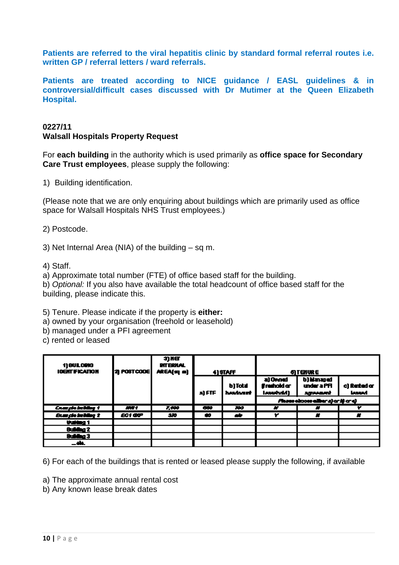**Patients are referred to the viral hepatitis clinic by standard formal referral routes i.e. written GP / referral letters / ward referrals.** 

**Patients are treated according to NICE guidance / EASL guidelines & in controversial/difficult cases discussed with Dr Mutimer at the Queen Elizabeth Hospital.** 

# **0227/11 Walsall Hospitals Property Request**

For **each building** in the authority which is used primarily as **office space for Secondary Care Trust employees**, please supply the following:

1) Building identification.

(Please note that we are only enquiring about buildings which are primarily used as office space for Walsall Hospitals NHS Trust employees.)

2) Postcode.

3) Net Internal Area (NIA) of the building – sq m.

4) Staff.

a) Approximate total number (FTE) of office based staff for the building.

b) *Optional:* If you also have available the total headcount of office based staff for the building, please indicate this.

5) Tenure. Please indicate if the property is **either:**

a) owned by your organisation (freehold or leasehold)

b) managed under a PFI agreement

c) rented or leased

| 1) BULORIG<br><b>IOBIT FICATION</b>     | 21 POSTCOOE    | 3) XET<br><b>PIT ERMAL</b><br>AREA(sq m) | 4) STAFF                 |                      | <b>QIENWE</b>                       |                                            |                               |
|-----------------------------------------|----------------|------------------------------------------|--------------------------|----------------------|-------------------------------------|--------------------------------------------|-------------------------------|
|                                         |                |                                          | a) FTF                   | b) Total<br>hashart. | a) Owned<br>frashold or<br>[Awwwdd] | b) Managad<br>under a PFI<br><b>System</b> | c) Rented or<br><b>Leased</b> |
|                                         |                |                                          |                          |                      |                                     | Fluore choose albuma) or the credi         |                               |
| <b>CompleteNing 1</b>                   | M/T            | 7.000                                    | $\overline{\phantom{a}}$ | $\overline{3}$       | ×                                   | ×                                          | Y                             |
| <b><i><u>Example inciding 2</u></i></b> | <b>EC1 OVP</b> | -320                                     | 40                       | ab.                  | Y                                   | ×                                          | ×                             |
| thuiding 1                              |                |                                          |                          |                      |                                     |                                            |                               |
| Guiding 2                               |                |                                          |                          |                      |                                     |                                            |                               |
| Suidho 3                                |                |                                          |                          |                      |                                     |                                            |                               |
| <b>_dk.</b>                             |                |                                          |                          |                      |                                     |                                            |                               |

6) For each of the buildings that is rented or leased please supply the following, if available

a) The approximate annual rental cost

b) Any known lease break dates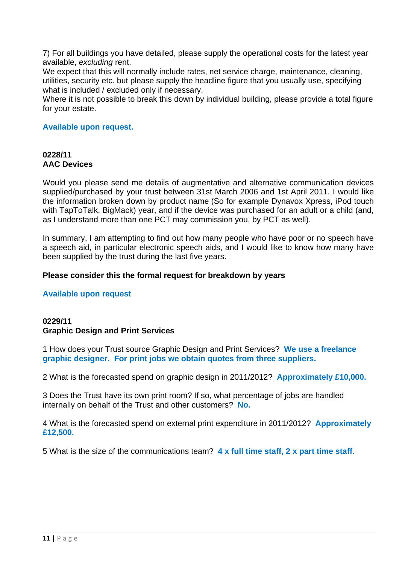7) For all buildings you have detailed, please supply the operational costs for the latest year available, *excluding* rent.

We expect that this will normally include rates, net service charge, maintenance, cleaning, utilities, security etc. but please supply the headline figure that you usually use, specifying what is included / excluded only if necessary.

Where it is not possible to break this down by individual building, please provide a total figure for your estate.

### **Available upon request.**

# **0228/11 AAC Devices**

Would you please send me details of augmentative and alternative communication devices supplied/purchased by your trust between 31st March 2006 and 1st April 2011. I would like the information broken down by product name (So for example Dynavox Xpress, iPod touch with TapToTalk, BigMack) year, and if the device was purchased for an adult or a child (and, as I understand more than one PCT may commission you, by PCT as well).

In summary, I am attempting to find out how many people who have poor or no speech have a speech aid, in particular electronic speech aids, and I would like to know how many have been supplied by the trust during the last five years.

### **Please consider this the formal request for breakdown by years**

### **Available upon request**

# **0229/11 Graphic Design and Print Services**

1 How does your Trust source Graphic Design and Print Services? **We use a freelance graphic designer. For print jobs we obtain quotes from three suppliers.** 

2 What is the forecasted spend on graphic design in 2011/2012? **Approximately £10,000.** 

3 Does the Trust have its own print room? If so, what percentage of jobs are handled internally on behalf of the Trust and other customers? **No.**

4 What is the forecasted spend on external print expenditure in 2011/2012? **Approximately £12,500.** 

5 What is the size of the communications team? **4 x full time staff, 2 x part time staff.**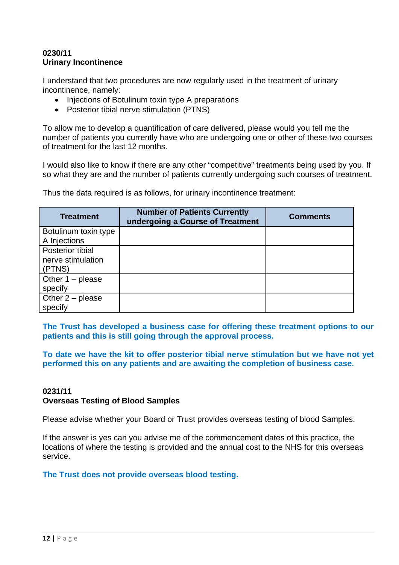## **0230/11 Urinary Incontinence**

I understand that two procedures are now regularly used in the treatment of urinary incontinence, namely:

- Injections of Botulinum toxin type A preparations
- Posterior tibial nerve stimulation (PTNS)

To allow me to develop a quantification of care delivered, please would you tell me the number of patients you currently have who are undergoing one or other of these two courses of treatment for the last 12 months.

I would also like to know if there are any other "competitive" treatments being used by you. If so what they are and the number of patients currently undergoing such courses of treatment.

Thus the data required is as follows, for urinary incontinence treatment:

| <b>Treatment</b>                     | <b>Number of Patients Currently</b><br>undergoing a Course of Treatment | <b>Comments</b> |
|--------------------------------------|-------------------------------------------------------------------------|-----------------|
| Botulinum toxin type<br>A Injections |                                                                         |                 |
| Posterior tibial                     |                                                                         |                 |
| nerve stimulation                    |                                                                         |                 |
| (PTNS)                               |                                                                         |                 |
| Other $1$ – please                   |                                                                         |                 |
| specify                              |                                                                         |                 |
| Other $2$ – please                   |                                                                         |                 |
| specify                              |                                                                         |                 |

**The Trust has developed a business case for offering these treatment options to our patients and this is still going through the approval process.** 

**To date we have the kit to offer posterior tibial nerve stimulation but we have not yet performed this on any patients and are awaiting the completion of business case.** 

### **0231/11 Overseas Testing of Blood Samples**

Please advise whether your Board or Trust provides overseas testing of blood Samples.

If the answer is yes can you advise me of the commencement dates of this practice, the locations of where the testing is provided and the annual cost to the NHS for this overseas service.

**The Trust does not provide overseas blood testing.**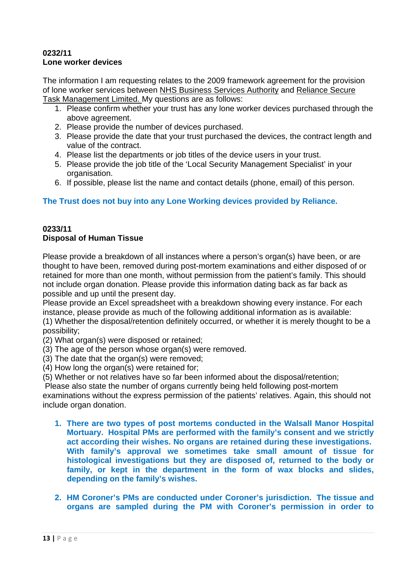### **0232/11 Lone worker devices**

The information I am requesting relates to the 2009 framework agreement for the provision of lone worker services between NHS Business Services Authority and Reliance Secure Task Management Limited. My questions are as follows:

- 1. Please confirm whether your trust has any lone worker devices purchased through the above agreement.
- 2. Please provide the number of devices purchased.
- 3. Please provide the date that your trust purchased the devices, the contract length and value of the contract.
- 4. Please list the departments or job titles of the device users in your trust.
- 5. Please provide the job title of the 'Local Security Management Specialist' in your organisation.
- 6. If possible, please list the name and contact details (phone, email) of this person.

# **The Trust does not buy into any Lone Working devices provided by Reliance.**

#### **0233/11 Disposal of Human Tissue**

Please provide a breakdown of all instances where a person's organ(s) have been, or are thought to have been, removed during post-mortem examinations and either disposed of or retained for more than one month, without permission from the patient's family. This should not include organ donation. Please provide this information dating back as far back as possible and up until the present day.

Please provide an Excel spreadsheet with a breakdown showing every instance. For each instance, please provide as much of the following additional information as is available:

(1) Whether the disposal/retention definitely occurred, or whether it is merely thought to be a possibility;

(2) What organ(s) were disposed or retained;

- (3) The age of the person whose organ(s) were removed.
- (3) The date that the organ(s) were removed;
- (4) How long the organ(s) were retained for;

(5) Whether or not relatives have so far been informed about the disposal/retention;

Please also state the number of organs currently being held following post-mortem

examinations without the express permission of the patients' relatives. Again, this should not include organ donation.

- **1. There are two types of post mortems conducted in the Walsall Manor Hospital Mortuary. Hospital PMs are performed with the family's consent and we strictly act according their wishes. No organs are retained during these investigations. With family's approval we sometimes take small amount of tissue for histological investigations but they are disposed of, returned to the body or family, or kept in the department in the form of wax blocks and slides, depending on the family's wishes.**
- **2. HM Coroner's PMs are conducted under Coroner's jurisdiction. The tissue and organs are sampled during the PM with Coroner's permission in order to**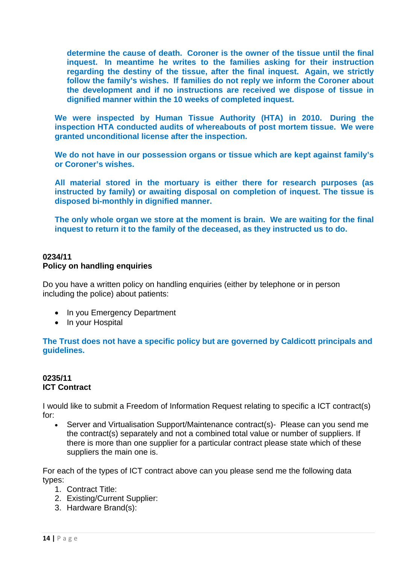**determine the cause of death. Coroner is the owner of the tissue until the final inquest. In meantime he writes to the families asking for their instruction regarding the destiny of the tissue, after the final inquest. Again, we strictly follow the family's wishes. If families do not reply we inform the Coroner about the development and if no instructions are received we dispose of tissue in dignified manner within the 10 weeks of completed inquest.** 

**We were inspected by Human Tissue Authority (HTA) in 2010. During the inspection HTA conducted audits of whereabouts of post mortem tissue. We were granted unconditional license after the inspection.** 

**We do not have in our possession organs or tissue which are kept against family's or Coroner's wishes.** 

**All material stored in the mortuary is either there for research purposes (as instructed by family) or awaiting disposal on completion of inquest. The tissue is disposed bi-monthly in dignified manner.** 

**The only whole organ we store at the moment is brain. We are waiting for the final inquest to return it to the family of the deceased, as they instructed us to do.** 

## **0234/11 Policy on handling enquiries**

Do you have a written policy on handling enquiries (either by telephone or in person including the police) about patients:

- In you Emergency Department
- In your Hospital

### **The Trust does not have a specific policy but are governed by Caldicott principals and guidelines.**

## **0235/11 ICT Contract**

I would like to submit a Freedom of Information Request relating to specific a ICT contract(s) for:

• Server and Virtualisation Support/Maintenance contract(s)- Please can you send me the contract(s) separately and not a combined total value or number of suppliers. If there is more than one supplier for a particular contract please state which of these suppliers the main one is.

For each of the types of ICT contract above can you please send me the following data types:

- 1. Contract Title:
- 2. Existing/Current Supplier:
- 3. Hardware Brand(s):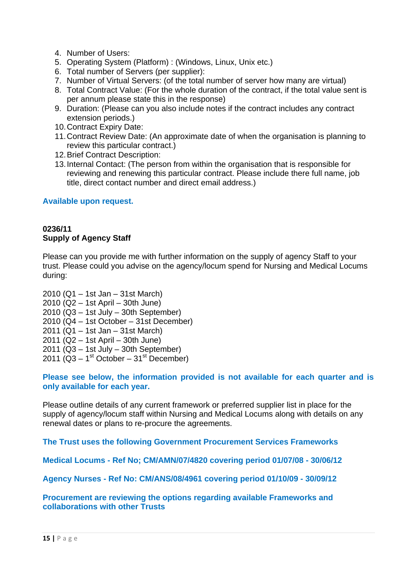- 4. Number of Users:
- 5. Operating System (Platform) : (Windows, Linux, Unix etc.)
- 6. Total number of Servers (per supplier):
- 7. Number of Virtual Servers: (of the total number of server how many are virtual)
- 8. Total Contract Value: (For the whole duration of the contract, if the total value sent is per annum please state this in the response)
- 9. Duration: (Please can you also include notes if the contract includes any contract extension periods.)
- 10. Contract Expiry Date:
- 11. Contract Review Date: (An approximate date of when the organisation is planning to review this particular contract.)
- 12. Brief Contract Description:
- 13. Internal Contact: (The person from within the organisation that is responsible for reviewing and renewing this particular contract. Please include there full name, job title, direct contact number and direct email address.)

#### **Available upon request.**

# **0236/11 Supply of Agency Staff**

Please can you provide me with further information on the supply of agency Staff to your trust. Please could you advise on the agency/locum spend for Nursing and Medical Locums during:

2010 (Q1 – 1st Jan – 31st March) 2010 (Q2 – 1st April – 30th June) 2010 (Q3 – 1st July – 30th September) 2010 (Q4 – 1st October – 31st December) 2011 (Q1 – 1st Jan – 31st March) 2011 (Q2 – 1st April – 30th June) 2011 (Q3 – 1st July – 30th September) 2011 ( $Q3 - 1$ <sup>st</sup> October – 31<sup>st</sup> December)

### **Please see below, the information provided is not available for each quarter and is only available for each year.**

Please outline details of any current framework or preferred supplier list in place for the supply of agency/locum staff within Nursing and Medical Locums along with details on any renewal dates or plans to re-procure the agreements.

**The Trust uses the following Government Procurement Services Frameworks** 

**Medical Locums - Ref No; CM/AMN/07/4820 covering period 01/07/08 - 30/06/12** 

**Agency Nurses - Ref No: CM/ANS/08/4961 covering period 01/10/09 - 30/09/12** 

**Procurement are reviewing the options regarding available Frameworks and collaborations with other Trusts**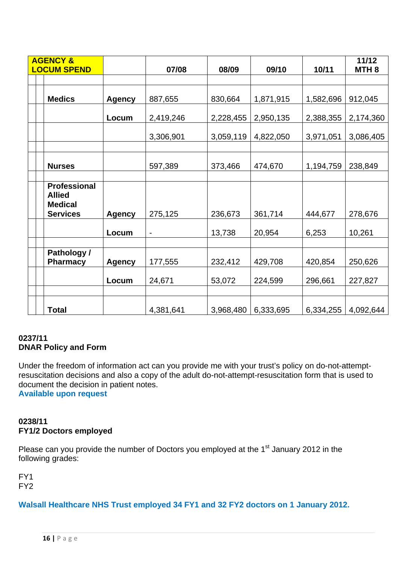| <b>AGENCY &amp;</b><br><b>LOCUM SPEND</b>                                 |               | 07/08                    | 08/09     | 09/10     | 10/11     | 11/12<br>MTH <sub>8</sub> |
|---------------------------------------------------------------------------|---------------|--------------------------|-----------|-----------|-----------|---------------------------|
|                                                                           |               |                          |           |           |           |                           |
| <b>Medics</b>                                                             | <b>Agency</b> | 887,655                  | 830,664   | 1,871,915 | 1,582,696 | 912,045                   |
|                                                                           | Locum         | 2,419,246                | 2,228,455 | 2,950,135 | 2,388,355 | 2,174,360                 |
|                                                                           |               | 3,306,901                | 3,059,119 | 4,822,050 | 3,971,051 | 3,086,405                 |
|                                                                           |               |                          |           |           |           |                           |
| <b>Nurses</b>                                                             |               | 597,389                  | 373,466   | 474,670   | 1,194,759 | 238,849                   |
|                                                                           |               |                          |           |           |           |                           |
| <b>Professional</b><br><b>Allied</b><br><b>Medical</b><br><b>Services</b> | <b>Agency</b> | 275,125                  | 236,673   | 361,714   | 444,677   | 278,676                   |
|                                                                           | Locum         | $\overline{\phantom{0}}$ | 13,738    | 20,954    | 6,253     | 10,261                    |
|                                                                           |               |                          |           |           |           |                           |
| Pathology /<br><b>Pharmacy</b>                                            | <b>Agency</b> | 177,555                  | 232,412   | 429,708   | 420,854   | 250,626                   |
|                                                                           | Locum         | 24,671                   | 53,072    | 224,599   | 296,661   | 227,827                   |
|                                                                           |               |                          |           |           |           |                           |
| Total                                                                     |               | 4,381,641                | 3,968,480 | 6,333,695 | 6,334,255 | 4,092,644                 |

# **0237/11 DNAR Policy and Form**

Under the freedom of information act can you provide me with your trust's policy on do-not-attemptresuscitation decisions and also a copy of the adult do-not-attempt-resuscitation form that is used to document the decision in patient notes.

**Available upon request** 

# **0238/11 FY1/2 Doctors employed**

Please can you provide the number of Doctors you employed at the 1<sup>st</sup> January 2012 in the following grades:

FY1 FY2

# **Walsall Healthcare NHS Trust employed 34 FY1 and 32 FY2 doctors on 1 January 2012.**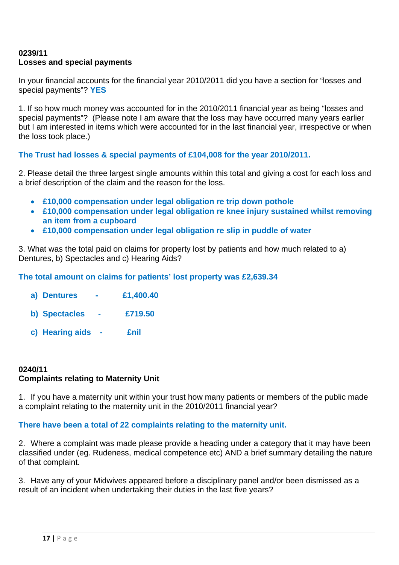# **0239/11 Losses and special payments**

In your financial accounts for the financial year 2010/2011 did you have a section for "losses and special payments"? **YES**

1. If so how much money was accounted for in the 2010/2011 financial year as being "losses and special payments"? (Please note I am aware that the loss may have occurred many years earlier but I am interested in items which were accounted for in the last financial year, irrespective or when the loss took place.)

# **The Trust had losses & special payments of £104,008 for the year 2010/2011.**

2. Please detail the three largest single amounts within this total and giving a cost for each loss and a brief description of the claim and the reason for the loss.

- **£10,000 compensation under legal obligation re trip down pothole**
- **£10,000 compensation under legal obligation re knee injury sustained whilst removing an item from a cupboard**
- **£10,000 compensation under legal obligation re slip in puddle of water**

3. What was the total paid on claims for property lost by patients and how much related to a) Dentures, b) Spectacles and c) Hearing Aids?

**The total amount on claims for patients' lost property was £2,639.34** 

- **a) Dentures £1,400.40**
- **b) Spectacles £719.50**
- **c) Hearing aids £nil**

# **0240/11 Complaints relating to Maternity Unit**

1. If you have a maternity unit within your trust how many patients or members of the public made a complaint relating to the maternity unit in the 2010/2011 financial year?

### **There have been a total of 22 complaints relating to the maternity unit.**

2. Where a complaint was made please provide a heading under a category that it may have been classified under (eg. Rudeness, medical competence etc) AND a brief summary detailing the nature of that complaint.

3. Have any of your Midwives appeared before a disciplinary panel and/or been dismissed as a result of an incident when undertaking their duties in the last five years?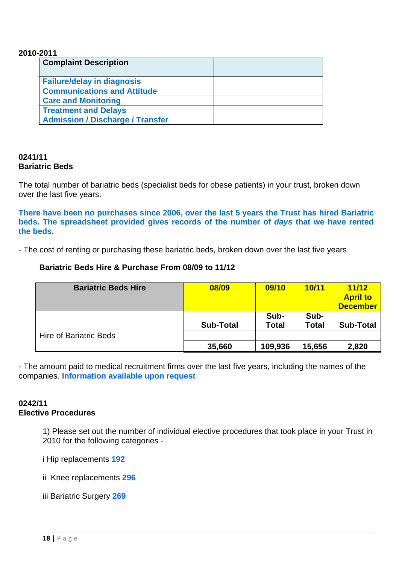#### **2010-2011**

| <b>Complaint Description</b>            |  |
|-----------------------------------------|--|
| <b>Failure/delay in diagnosis</b>       |  |
| <b>Communications and Attitude</b>      |  |
| <b>Care and Monitoring</b>              |  |
| <b>Treatment and Delays</b>             |  |
| <b>Admission / Discharge / Transfer</b> |  |

### **0241/11 Bariatric Beds**

The total number of bariatric beds (specialist beds for obese patients) in your trust, broken down over the last five years.

**There have been no purchases since 2006, over the last 5 years the Trust has hired Bariatric beds. The spreadsheet provided gives records of the number of** *days* **that we have rented the beds.** 

- The cost of renting or purchasing these bariatric beds, broken down over the last five years.

# **Bariatric Beds Hire & Purchase From 08/09 to 11/12**

| <b>Bariatric Beds Hire</b>    | 08/09            | 09/10                | 10/11         | 11/12<br><b>April to</b><br><b>December</b> |
|-------------------------------|------------------|----------------------|---------------|---------------------------------------------|
|                               | <b>Sub-Total</b> | Sub-<br><b>Total</b> | Sub-<br>Total | <b>Sub-Total</b>                            |
| <b>Hire of Bariatric Beds</b> |                  |                      |               |                                             |
|                               | 35,660           | 109,936              | 15,656        | 2,820                                       |

- The amount paid to medical recruitment firms over the last five years, including the names of the companies. **Information available upon request**

#### **0242/11 Elective Procedures**

1) Please set out the number of individual elective procedures that took place in your Trust in 2010 for the following categories -

i Hip replacements **192**

ii Knee replacements **296**

iii Bariatric Surgery **269**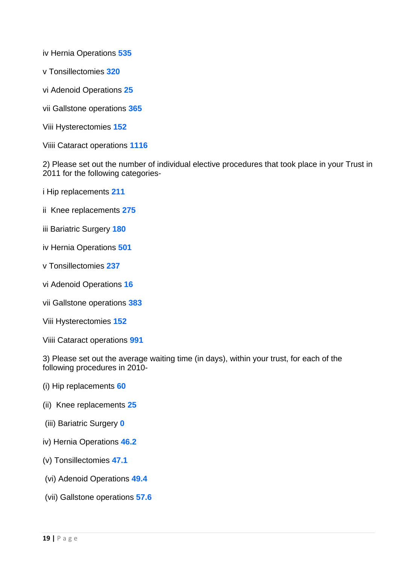iv Hernia Operations **535**

- v Tonsillectomies **320**
- vi Adenoid Operations **25**
- vii Gallstone operations **365**
- Viii Hysterectomies **152**
- Viiii Cataract operations **1116**

2) Please set out the number of individual elective procedures that took place in your Trust in 2011 for the following categories-

- i Hip replacements **211**
- ii Knee replacements **275**
- iii Bariatric Surgery **180**
- iv Hernia Operations **501**
- v Tonsillectomies **237**
- vi Adenoid Operations **16**
- vii Gallstone operations **383**
- Viii Hysterectomies **152**
- Viiii Cataract operations **991**

3) Please set out the average waiting time (in days), within your trust, for each of the following procedures in 2010-

- (i) Hip replacements **60**
- (ii) Knee replacements **25**
- (iii) Bariatric Surgery **0**
- iv) Hernia Operations **46.2**
- (v) Tonsillectomies **47.1**
- (vi) Adenoid Operations **49.4**
- (vii) Gallstone operations **57.6**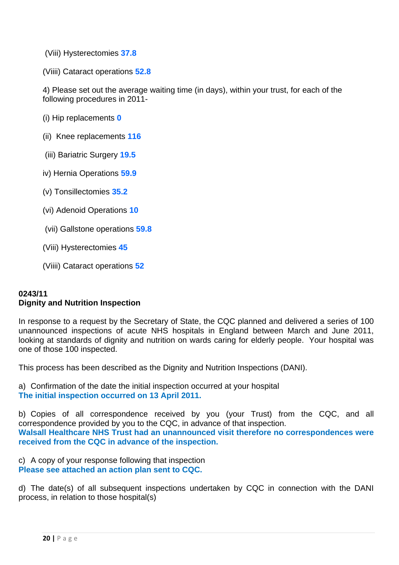(Viii) Hysterectomies **37.8**

(Viiii) Cataract operations **52.8**

4) Please set out the average waiting time (in days), within your trust, for each of the following procedures in 2011-

(i) Hip replacements **0**

(ii) Knee replacements **116** 

(iii) Bariatric Surgery **19.5**

iv) Hernia Operations **59.9**

(v) Tonsillectomies **35.2**

(vi) Adenoid Operations **10**

(vii) Gallstone operations **59.8**

(Viii) Hysterectomies **45**

(Viiii) Cataract operations **52**

# **0243/11 Dignity and Nutrition Inspection**

In response to a request by the Secretary of State, the CQC planned and delivered a series of 100 unannounced inspections of acute NHS hospitals in England between March and June 2011, looking at standards of dignity and nutrition on wards caring for elderly people. Your hospital was one of those 100 inspected.

This process has been described as the Dignity and Nutrition Inspections (DANI).

a) Confirmation of the date the initial inspection occurred at your hospital **The initial inspection occurred on 13 April 2011.** 

b) Copies of all correspondence received by you (your Trust) from the CQC, and all correspondence provided by you to the CQC, in advance of that inspection. **Walsall Healthcare NHS Trust had an unannounced visit therefore no correspondences were received from the CQC in advance of the inspection.** 

c) A copy of your response following that inspection **Please see attached an action plan sent to CQC.** 

d) The date(s) of all subsequent inspections undertaken by CQC in connection with the DANI process, in relation to those hospital(s)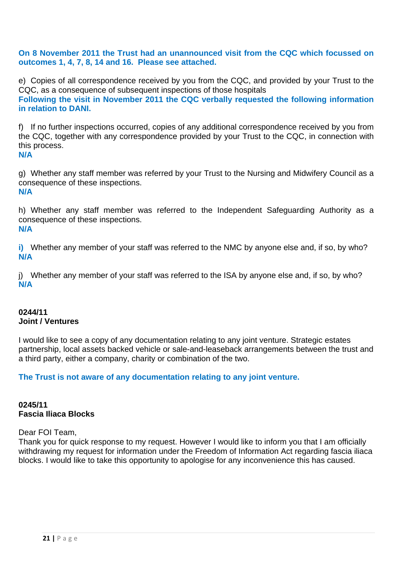**On 8 November 2011 the Trust had an unannounced visit from the CQC which focussed on outcomes 1, 4, 7, 8, 14 and 16. Please see attached.**

e) Copies of all correspondence received by you from the CQC, and provided by your Trust to the CQC, as a consequence of subsequent inspections of those hospitals **Following the visit in November 2011 the CQC verbally requested the following information in relation to DANI.** 

f) If no further inspections occurred, copies of any additional correspondence received by you from the CQC, together with any correspondence provided by your Trust to the CQC, in connection with this process.

**N/A** 

g) Whether any staff member was referred by your Trust to the Nursing and Midwifery Council as a consequence of these inspections. **N/A** 

h) Whether any staff member was referred to the Independent Safeguarding Authority as a consequence of these inspections. **N/A** 

**i)** Whether any member of your staff was referred to the NMC by anyone else and, if so, by who? **N/A** 

j) Whether any member of your staff was referred to the ISA by anyone else and, if so, by who? **N/A** 

# **0244/11 Joint / Ventures**

I would like to see a copy of any documentation relating to any joint venture. Strategic estates partnership, local assets backed vehicle or sale-and-leaseback arrangements between the trust and a third party, either a company, charity or combination of the two.

**The Trust is not aware of any documentation relating to any joint venture.** 

# **0245/11 Fascia Iliaca Blocks**

Dear FOI Team,

Thank you for quick response to my request. However I would like to inform you that I am officially withdrawing my request for information under the Freedom of Information Act regarding fascia iliaca blocks. I would like to take this opportunity to apologise for any inconvenience this has caused.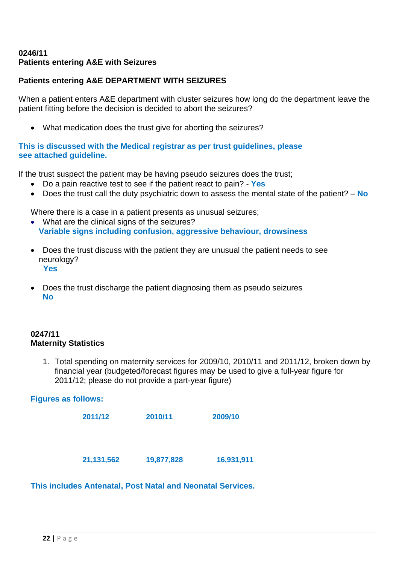### **0246/11 Patients entering A&E with Seizures**

# **Patients entering A&E DEPARTMENT WITH SEIZURES**

When a patient enters A&E department with cluster seizures how long do the department leave the patient fitting before the decision is decided to abort the seizures?

• What medication does the trust give for aborting the seizures?

## **This is discussed with the Medical registrar as per trust guidelines, please see attached guideline.**

If the trust suspect the patient may be having pseudo seizures does the trust;

- Do a pain reactive test to see if the patient react to pain? - **Yes**
- Does the trust call the duty psychiatric down to assess the mental state of the patient? – **No**

Where there is a case in a patient presents as unusual seizures;

- What are the clinical signs of the seizures?  **Variable signs including confusion, aggressive behaviour, drowsiness**
- Does the trust discuss with the patient they are unusual the patient needs to see neurology? **Yes**
- Does the trust discharge the patient diagnosing them as pseudo seizures **No**

# **0247/11 Maternity Statistics**

1. Total spending on maternity services for 2009/10, 2010/11 and 2011/12, broken down by financial year (budgeted/forecast figures may be used to give a full-year figure for 2011/12; please do not provide a part-year figure)

# **Figures as follows:**

| 2011/12      | 2010/11    | 2009/10    |
|--------------|------------|------------|
|              |            |            |
| 21, 131, 562 | 19,877,828 | 16,931,911 |

**This includes Antenatal, Post Natal and Neonatal Services.**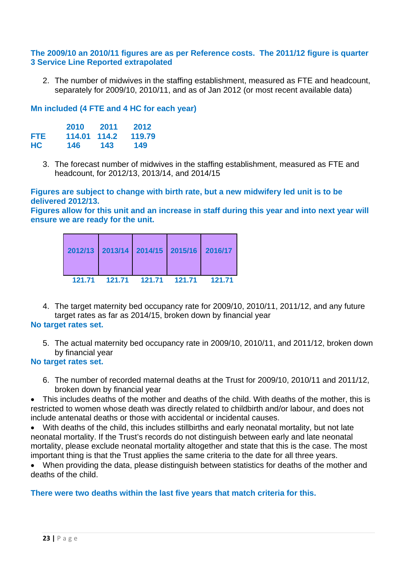#### **The 2009/10 an 2010/11 figures are as per Reference costs. The 2011/12 figure is quarter 3 Service Line Reported extrapolated**

2. The number of midwives in the staffing establishment, measured as FTE and headcount, separately for 2009/10, 2010/11, and as of Jan 2012 (or most recent available data)

### **Mn included (4 FTE and 4 HC for each year)**

|      | 2010   | 2011  | 2012   |
|------|--------|-------|--------|
| FTE. | 114.01 | 114.2 | 119.79 |
| НC   | 146    | 143   | 149    |

3. The forecast number of midwives in the staffing establishment, measured as FTE and headcount, for 2012/13, 2013/14, and 2014/15

#### **Figures are subject to change with birth rate, but a new midwifery led unit is to be delivered 2012/13.**

**Figures allow for this unit and an increase in staff during this year and into next year will ensure we are ready for the unit.** 

|  | 2012/13 2013/14 2014/15 2015/16 2016/17 |  |
|--|-----------------------------------------|--|
|  | 121.71  121.71  121.71  121.71  121.71  |  |

4. The target maternity bed occupancy rate for 2009/10, 2010/11, 2011/12, and any future target rates as far as 2014/15, broken down by financial year

### **No target rates set.**

5. The actual maternity bed occupancy rate in 2009/10, 2010/11, and 2011/12, broken down by financial year

### **No target rates set.**

6. The number of recorded maternal deaths at the Trust for 2009/10, 2010/11 and 2011/12, broken down by financial year

• This includes deaths of the mother and deaths of the child. With deaths of the mother, this is restricted to women whose death was directly related to childbirth and/or labour, and does not include antenatal deaths or those with accidental or incidental causes.

• With deaths of the child, this includes stillbirths and early neonatal mortality, but not late neonatal mortality. If the Trust's records do not distinguish between early and late neonatal mortality, please exclude neonatal mortality altogether and state that this is the case. The most important thing is that the Trust applies the same criteria to the date for all three years.

• When providing the data, please distinguish between statistics for deaths of the mother and deaths of the child.

### **There were two deaths within the last five years that match criteria for this.**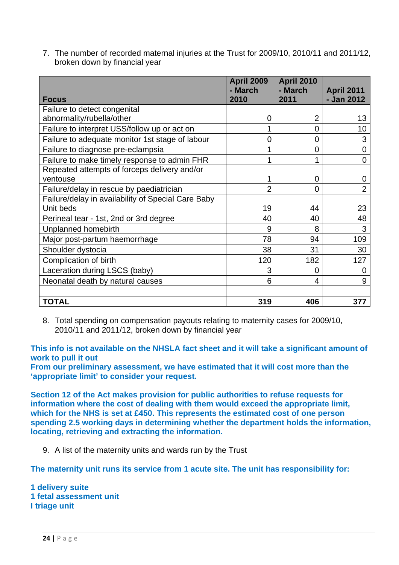7. The number of recorded maternal injuries at the Trust for 2009/10, 2010/11 and 2011/12, broken down by financial year

|                                                    | <b>April 2009</b><br>- March | <b>April 2010</b><br>- March | <b>April 2011</b> |
|----------------------------------------------------|------------------------------|------------------------------|-------------------|
| <b>Focus</b>                                       | 2010                         | 2011                         | - Jan 2012        |
| Failure to detect congenital                       |                              |                              |                   |
| abnormality/rubella/other                          | $\overline{0}$               | $\overline{2}$               | 13                |
| Failure to interpret USS/follow up or act on       | 1                            | 0                            | 10                |
| Failure to adequate monitor 1st stage of labour    | 0                            | $\overline{0}$               | 3                 |
| Failure to diagnose pre-eclampsia                  |                              | $\mathbf 0$                  | $\overline{0}$    |
| Failure to make timely response to admin FHR       | 1                            | 1                            | $\overline{0}$    |
| Repeated attempts of forceps delivery and/or       |                              |                              |                   |
| ventouse                                           | 1                            | 0                            | 0                 |
| Failure/delay in rescue by paediatrician           | $\overline{2}$               | 0                            | $\overline{2}$    |
| Failure/delay in availability of Special Care Baby |                              |                              |                   |
| Unit beds                                          | 19                           | 44                           | 23                |
| Perineal tear - 1st, 2nd or 3rd degree             | 40                           | 40                           | 48                |
| Unplanned homebirth                                | 9                            | 8                            | 3                 |
| Major post-partum haemorrhage                      | 78                           | 94                           | 109               |
| Shoulder dystocia                                  | 38                           | 31                           | 30                |
| Complication of birth                              | 120                          | 182                          | 127               |
| Laceration during LSCS (baby)                      | 3                            | $\overline{0}$               | 0                 |
| Neonatal death by natural causes                   | 6                            | 4                            | 9                 |
|                                                    |                              |                              |                   |
| <b>TOTAL</b>                                       | 319                          | 406                          | 377               |

8. Total spending on compensation payouts relating to maternity cases for 2009/10, 2010/11 and 2011/12, broken down by financial year

**This info is not available on the NHSLA fact sheet and it will take a significant amount of work to pull it out** 

**From our preliminary assessment, we have estimated that it will cost more than the 'appropriate limit' to consider your request.** 

**Section 12 of the Act makes provision for public authorities to refuse requests for information where the cost of dealing with them would exceed the appropriate limit, which for the NHS is set at £450. This represents the estimated cost of one person spending 2.5 working days in determining whether the department holds the information, locating, retrieving and extracting the information.** 

9. A list of the maternity units and wards run by the Trust

**The maternity unit runs its service from 1 acute site. The unit has responsibility for:** 

**1 delivery suite 1 fetal assessment unit I triage unit**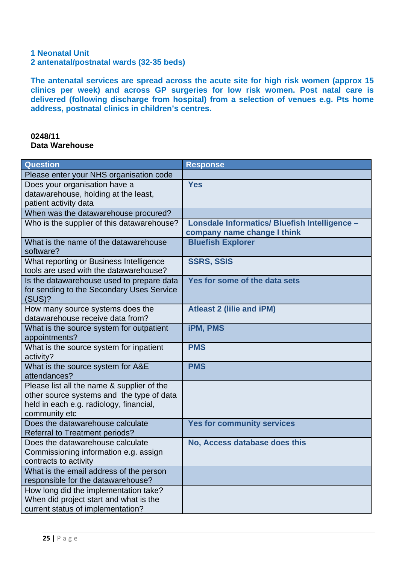# **1 Neonatal Unit**

**2 antenatal/postnatal wards (32-35 beds)** 

**The antenatal services are spread across the acute site for high risk women (approx 15 clinics per week) and across GP surgeries for low risk women. Post natal care is delivered (following discharge from hospital) from a selection of venues e.g. Pts home address, postnatal clinics in children's centres.** 

#### **0248/11 Data Warehouse**

| Question                                                             | <b>Response</b>                               |
|----------------------------------------------------------------------|-----------------------------------------------|
| Please enter your NHS organisation code                              |                                               |
| Does your organisation have a                                        | <b>Yes</b>                                    |
| datawarehouse, holding at the least,                                 |                                               |
| patient activity data                                                |                                               |
| When was the datawarehouse procured?                                 |                                               |
| Who is the supplier of this datawarehouse?                           | Lonsdale Informatics/ Bluefish Intelligence - |
|                                                                      | company name change I think                   |
| What is the name of the datawarehouse<br>software?                   | <b>Bluefish Explorer</b>                      |
| What reporting or Business Intelligence                              | <b>SSRS, SSIS</b>                             |
| tools are used with the datawarehouse?                               |                                               |
| Is the datawarehouse used to prepare data                            | Yes for some of the data sets                 |
| for sending to the Secondary Uses Service                            |                                               |
| (SUS)?                                                               |                                               |
| How many source systems does the<br>datawarehouse receive data from? | <b>Atleast 2 (lilie and iPM)</b>              |
|                                                                      |                                               |
| What is the source system for outpatient<br>appointments?            | <b>iPM, PMS</b>                               |
| What is the source system for inpatient                              | <b>PMS</b>                                    |
| activity?                                                            |                                               |
| What is the source system for A&E                                    | <b>PMS</b>                                    |
| attendances?                                                         |                                               |
| Please list all the name & supplier of the                           |                                               |
| other source systems and the type of data                            |                                               |
| held in each e.g. radiology, financial,                              |                                               |
| community etc                                                        |                                               |
| Does the datawarehouse calculate                                     | <b>Yes for community services</b>             |
| <b>Referral to Treatment periods?</b>                                |                                               |
| Does the datawarehouse calculate                                     | No, Access database does this                 |
| Commissioning information e.g. assign                                |                                               |
| contracts to activity<br>What is the email address of the person     |                                               |
| responsible for the datawarehouse?                                   |                                               |
| How long did the implementation take?                                |                                               |
| When did project start and what is the                               |                                               |
| current status of implementation?                                    |                                               |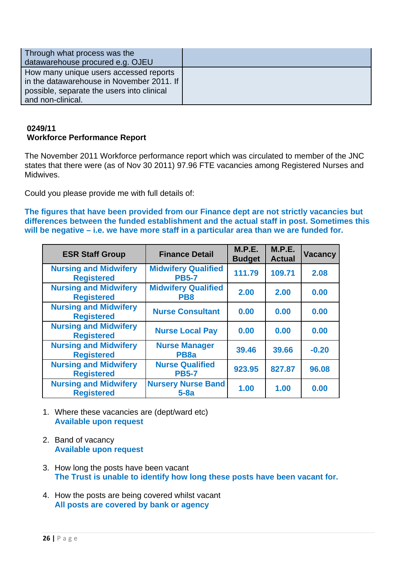| Through what process was the<br>datawarehouse procured e.g. OJEU                                                                                       |  |
|--------------------------------------------------------------------------------------------------------------------------------------------------------|--|
| How many unique users accessed reports<br>in the datawarehouse in November 2011. If<br>possible, separate the users into clinical<br>and non-clinical. |  |

### **0249/11 Workforce Performance Report**

The November 2011 Workforce performance report which was circulated to member of the JNC states that there were (as of Nov 30 2011) 97.96 FTE vacancies among Registered Nurses and Midwives.

Could you please provide me with full details of:

**The figures that have been provided from our Finance dept are not strictly vacancies but differences between the funded establishment and the actual staff in post. Sometimes this will be negative – i.e. we have more staff in a particular area than we are funded for.** 

| <b>ESR Staff Group</b>                            | <b>Finance Detail</b>                         | M.P.E.<br><b>Budget</b> | M.P.E.<br><b>Actual</b> | <b>Vacancy</b> |
|---------------------------------------------------|-----------------------------------------------|-------------------------|-------------------------|----------------|
| <b>Nursing and Midwifery</b><br><b>Registered</b> | <b>Midwifery Qualified</b><br><b>PB5-7</b>    | 111.79                  | 109.71                  | 2.08           |
| <b>Nursing and Midwifery</b><br><b>Registered</b> | <b>Midwifery Qualified</b><br>PB <sub>8</sub> | 2.00                    | 2.00                    | 0.00           |
| <b>Nursing and Midwifery</b><br><b>Registered</b> | <b>Nurse Consultant</b>                       | 0.00                    | 0.00                    | 0.00           |
| <b>Nursing and Midwifery</b><br><b>Registered</b> | <b>Nurse Local Pay</b>                        | 0.00                    | 0.00                    | 0.00           |
| <b>Nursing and Midwifery</b><br><b>Registered</b> | <b>Nurse Manager</b><br>PB <sub>8a</sub>      | 39.46                   | 39.66                   | $-0.20$        |
| <b>Nursing and Midwifery</b><br><b>Registered</b> | <b>Nurse Qualified</b><br><b>PB5-7</b>        | 923.95                  | 827.87                  | 96.08          |
| <b>Nursing and Midwifery</b><br><b>Registered</b> | <b>Nursery Nurse Band</b><br>$5-8a$           | 1.00                    | 1.00                    | 0.00           |

- 1. Where these vacancies are (dept/ward etc) **Available upon request**
- 2. Band of vacancy **Available upon request**
- 3. How long the posts have been vacant **The Trust is unable to identify how long these posts have been vacant for.**
- 4. How the posts are being covered whilst vacant **All posts are covered by bank or agency**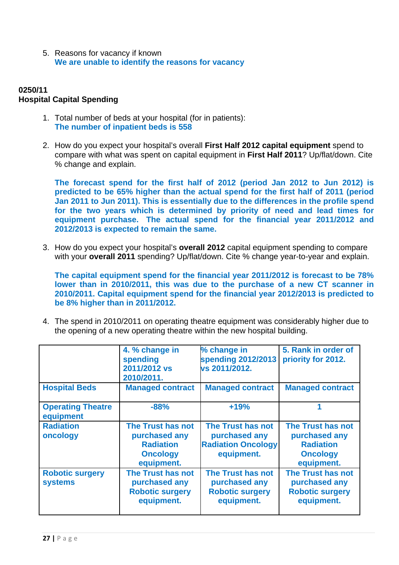5. Reasons for vacancy if known **We are unable to identify the reasons for vacancy** 

## **0250/11 Hospital Capital Spending**

- 1. Total number of beds at your hospital (for in patients): **The number of inpatient beds is 558**
- 2. How do you expect your hospital's overall **First Half 2012 capital equipment** spend to compare with what was spent on capital equipment in **First Half 2011**? Up/flat/down. Cite % change and explain.

**The forecast spend for the first half of 2012 (period Jan 2012 to Jun 2012) is predicted to be 65% higher than the actual spend for the first half of 2011 (period Jan 2011 to Jun 2011). This is essentially due to the differences in the profile spend for the two years which is determined by priority of need and lead times for equipment purchase. The actual spend for the financial year 2011/2012 and 2012/2013 is expected to remain the same.** 

3. How do you expect your hospital's **overall 2012** capital equipment spending to compare with your **overall 2011** spending? Up/flat/down. Cite % change year-to-year and explain.

**The capital equipment spend for the financial year 2011/2012 is forecast to be 78% lower than in 2010/2011, this was due to the purchase of a new CT scanner in 2010/2011. Capital equipment spend for the financial year 2012/2013 is predicted to be 8% higher than in 2011/2012.** 

4. The spend in 2010/2011 on operating theatre equipment was considerably higher due to the opening of a new operating theatre within the new hospital building.

|                                          | 4. % change in<br>spending<br>2011/2012 vs<br>2010/2011.                                | % change in<br>spending 2012/2013<br>vs 2011/2012.                            | 5. Rank in order of<br>priority for 2012.                                               |
|------------------------------------------|-----------------------------------------------------------------------------------------|-------------------------------------------------------------------------------|-----------------------------------------------------------------------------------------|
| <b>Hospital Beds</b>                     | <b>Managed contract</b>                                                                 | <b>Managed contract</b>                                                       | <b>Managed contract</b>                                                                 |
| <b>Operating Theatre</b><br>equipment    | $-88%$                                                                                  | $+19%$                                                                        |                                                                                         |
| <b>Radiation</b><br>oncology             | The Trust has not<br>purchased any<br><b>Radiation</b><br><b>Oncology</b><br>equipment. | The Trust has not<br>purchased any<br><b>Radiation Oncology</b><br>equipment. | The Trust has not<br>purchased any<br><b>Radiation</b><br><b>Oncology</b><br>equipment. |
| <b>Robotic surgery</b><br><b>systems</b> | The Trust has not<br>purchased any<br><b>Robotic surgery</b><br>equipment.              | The Trust has not<br>purchased any<br><b>Robotic surgery</b><br>equipment.    | The Trust has not<br>purchased any<br><b>Robotic surgery</b><br>equipment.              |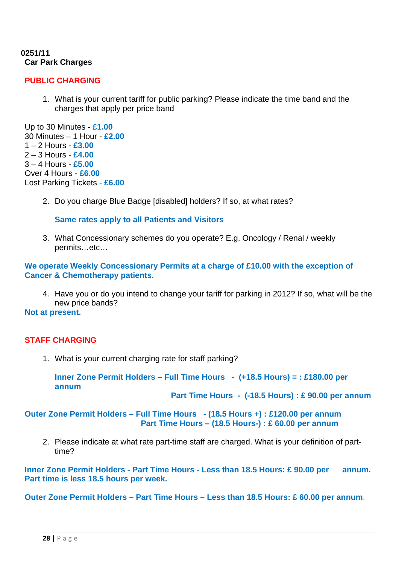### **0251/11 Car Park Charges**

# **PUBLIC CHARGING**

1. What is your current tariff for public parking? Please indicate the time band and the charges that apply per price band

Up to 30 Minutes - **£1.00** 30 Minutes – 1 Hour - **£2.00** 1 – 2 Hours - **£3.00** 2 – 3 Hours - **£4.00** 3 – 4 Hours - **£5.00** Over 4 Hours - **£6.00** Lost Parking Tickets - **£6.00**

2. Do you charge Blue Badge [disabled] holders? If so, at what rates?

**Same rates apply to all Patients and Visitors** 

3. What Concessionary schemes do you operate? E.g. Oncology / Renal / weekly permits…etc…

**We operate Weekly Concessionary Permits at a charge of £10.00 with the exception of Cancer & Chemotherapy patients.** 

4. Have you or do you intend to change your tariff for parking in 2012? If so, what will be the new price bands?

**Not at present.** 

# **STAFF CHARGING**

1. What is your current charging rate for staff parking?

**Inner Zone Permit Holders – Full Time Hours - (+18.5 Hours) = : £180.00 per annum** 

 **Part Time Hours - (-18.5 Hours) : £ 90.00 per annum** 

**Outer Zone Permit Holders – Full Time Hours - (18.5 Hours +) : £120.00 per annum Part Time Hours – (18.5 Hours-) : £ 60.00 per annum** 

2. Please indicate at what rate part-time staff are charged. What is your definition of parttime?

**Inner Zone Permit Holders - Part Time Hours - Less than 18.5 Hours: £ 90.00 per annum. Part time is less 18.5 hours per week.** 

**Outer Zone Permit Holders – Part Time Hours – Less than 18.5 Hours: £ 60.00 per annum**.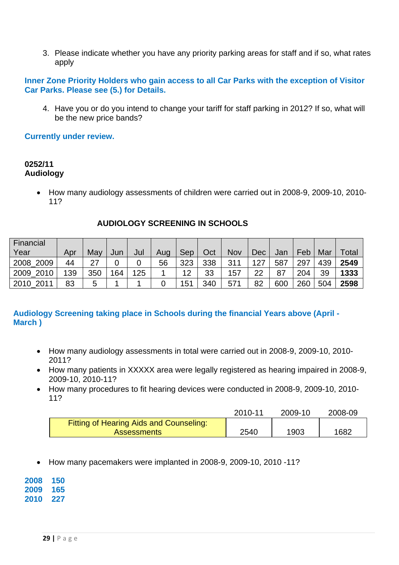3. Please indicate whether you have any priority parking areas for staff and if so, what rates apply

## **Inner Zone Priority Holders who gain access to all Car Parks with the exception of Visitor Car Parks. Please see (5.) for Details.**

4. Have you or do you intend to change your tariff for staff parking in 2012? If so, what will be the new price bands?

## **Currently under review.**

#### **0252/11 Audiology**

• How many audiology assessments of children were carried out in 2008-9, 2009-10, 2010- 11?

| Financial    |     |     |     |     |     |     |     |            |     |     |     |     |       |
|--------------|-----|-----|-----|-----|-----|-----|-----|------------|-----|-----|-----|-----|-------|
| Year         | Apr | Mav | Jun | Jul | Aug | Sep | Oct | <b>Nov</b> | Dec | Jan | Feb | Mar | Total |
| 2008 2009    | 44  | 27  |     |     | 56  | 323 | 338 | 311        | 127 | 587 | 297 | 439 | 2549  |
| 2010<br>2009 | 139 | 350 | 164 | 125 |     | 12  | 33  | 157        | 22  | 87  | 204 | 39  | 1333  |
| 2010 2011    | 83  | 5   |     |     |     | 151 | 340 | 571        | 82  | 600 | 260 | 504 | 2598  |

### **AUDIOLOGY SCREENING IN SCHOOLS**

# **Audiology Screening taking place in Schools during the financial Years above (April - March )**

- How many audiology assessments in total were carried out in 2008-9, 2009-10, 2010- 2011?
- How many patients in XXXXX area were legally registered as hearing impaired in 2008-9, 2009-10, 2010-11?
- How many procedures to fit hearing devices were conducted in 2008-9, 2009-10, 2010- 11?

|                                                                      | 2010-11 | 2009-10 | 2008-09 |
|----------------------------------------------------------------------|---------|---------|---------|
| <b>Fitting of Hearing Aids and Counseling:</b><br><b>Assessments</b> | 2540    | 1903    | 1682    |

• How many pacemakers were implanted in 2008-9, 2009-10, 2010 -11?

**2008 150 2009 165 2010 227**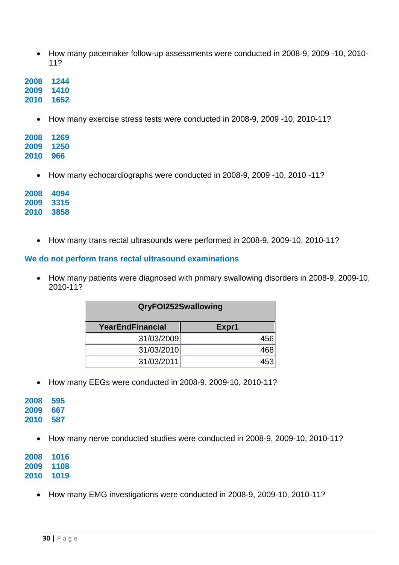• How many pacemaker follow-up assessments were conducted in 2008-9, 2009 -10, 2010- 11?

**2008 1244 2009 1410 2010 1652** 

• How many exercise stress tests were conducted in 2008-9, 2009 -10, 2010-11?

| 2008 | 1269 |
|------|------|
| 2009 | 1250 |
| 2010 | 966  |

• How many echocardiographs were conducted in 2008-9, 2009 -10, 2010 -11?

| 2008 | 4094 |
|------|------|
| 2009 | 3315 |
| 2010 | 3858 |

• How many trans rectal ultrasounds were performed in 2008-9, 2009-10, 2010-11?

#### **We do not perform trans rectal ultrasound examinations**

• How many patients were diagnosed with primary swallowing disorders in 2008-9, 2009-10, 2010-11?

| QryFOI252Swallowing     |       |  |  |
|-------------------------|-------|--|--|
| <b>YearEndFinancial</b> | Expr1 |  |  |
| 31/03/2009              | 456   |  |  |
| 31/03/2010              | 468   |  |  |
| 31/03/2011              | 453   |  |  |

• How many EEGs were conducted in 2008-9, 2009-10, 2010-11?

| 2008 | 595 |
|------|-----|
| 2009 | 667 |
| 2010 | 587 |

• How many nerve conducted studies were conducted in 2008-9, 2009-10, 2010-11?

**2008 1016 2009 1108 2010 1019** 

• How many EMG investigations were conducted in 2008-9, 2009-10, 2010-11?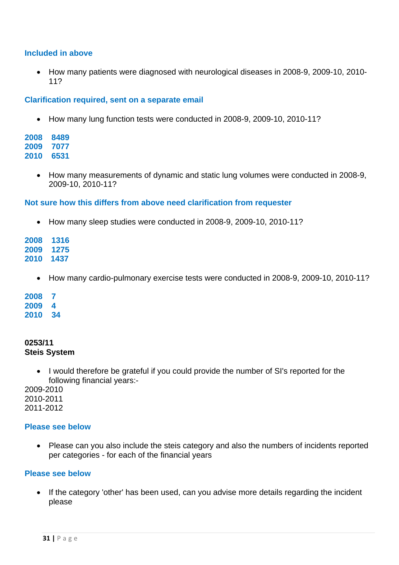#### **Included in above**

• How many patients were diagnosed with neurological diseases in 2008-9, 2009-10, 2010- 11?

#### **Clarification required, sent on a separate email**

• How many lung function tests were conducted in 2008-9, 2009-10, 2010-11?

**2008 8489 2009 7077 2010 6531**

> • How many measurements of dynamic and static lung volumes were conducted in 2008-9, 2009-10, 2010-11?

#### **Not sure how this differs from above need clarification from requester**

• How many sleep studies were conducted in 2008-9, 2009-10, 2010-11?

**2008 1316 2009 1275 2010 1437** 

• How many cardio-pulmonary exercise tests were conducted in 2008-9, 2009-10, 2010-11?

**2008 7 2009 4 2010 34** 

#### **0253/11 Steis System**

• I would therefore be grateful if you could provide the number of SI's reported for the following financial years:-

2009-2010 2010-2011 2011-2012

#### **Please see below**

• Please can you also include the steis category and also the numbers of incidents reported per categories - for each of the financial years

#### **Please see below**

• If the category 'other' has been used, can you advise more details regarding the incident please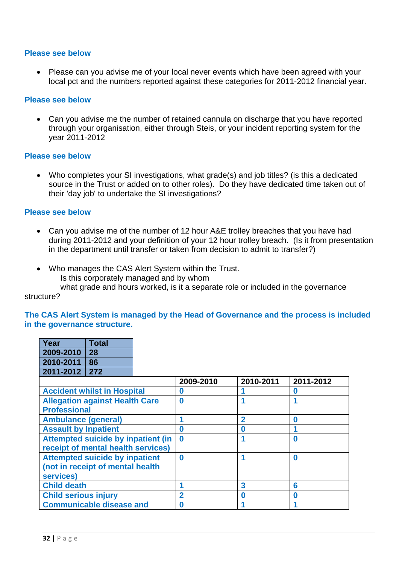#### **Please see below**

• Please can you advise me of your local never events which have been agreed with your local pct and the numbers reported against these categories for 2011-2012 financial year.

#### **Please see below**

• Can you advise me the number of retained cannula on discharge that you have reported through your organisation, either through Steis, or your incident reporting system for the year 2011-2012

#### **Please see below**

• Who completes your SI investigations, what grade(s) and job titles? (is this a dedicated source in the Trust or added on to other roles). Do they have dedicated time taken out of their 'day job' to undertake the SI investigations?

#### **Please see below**

- Can you advise me of the number of 12 hour A&E trolley breaches that you have had during 2011-2012 and your definition of your 12 hour trolley breach. (Is it from presentation in the department until transfer or taken from decision to admit to transfer?)
- Who manages the CAS Alert System within the Trust. Is this corporately managed and by whom

 what grade and hours worked, is it a separate role or included in the governance structure?

#### **The CAS Alert System is managed by the Head of Governance and the process is included in the governance structure.**

| Year            | <b>Total</b> |
|-----------------|--------------|
| 2009-2010       | 28           |
| 2010-2011       | 86           |
| 2011-2012   272 |              |

|                                           | 2009-2010 | 2010-2011    | 2011-2012 |
|-------------------------------------------|-----------|--------------|-----------|
| <b>Accident whilst in Hospital</b>        | 0         |              | O         |
| <b>Allegation against Health Care</b>     | $\bf{0}$  |              |           |
| <b>Professional</b>                       |           |              |           |
| <b>Ambulance (general)</b>                |           | $\mathbf{p}$ | O         |
| <b>Assault by Inpatient</b>               | 0         |              |           |
| <b>Attempted suicide by inpatient (in</b> | $\bf{0}$  |              | $\bf{0}$  |
| receipt of mental health services)        |           |              |           |
| <b>Attempted suicide by inpatient</b>     | $\bf{0}$  |              | $\bf{0}$  |
| (not in receipt of mental health          |           |              |           |
| services)                                 |           |              |           |
| <b>Child death</b>                        |           | 3            | 6         |
| <b>Child serious injury</b>               | 2         | Ω            | N         |
| <b>Communicable disease and</b>           | Ω         |              |           |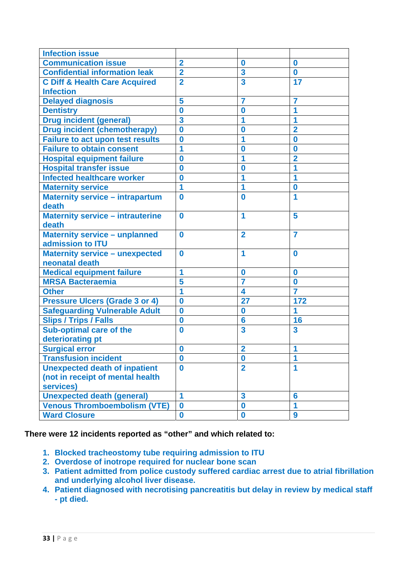| <b>Infection issue</b>                   |                  |                         |                      |
|------------------------------------------|------------------|-------------------------|----------------------|
| <b>Communication issue</b>               | $\overline{2}$   | 0                       | $\bf{0}$             |
| <b>Confidential information leak</b>     | $\overline{2}$   | $\overline{\mathbf{3}}$ | $\bf{0}$             |
| <b>C Diff &amp; Health Care Acquired</b> | $\overline{2}$   | 3                       | 17                   |
| <b>Infection</b>                         |                  |                         |                      |
| <b>Delayed diagnosis</b>                 | 5                | 7                       | 7                    |
| <b>Dentistry</b>                         | $\bf{0}$         | 0                       | 1                    |
| <b>Drug incident (general)</b>           | 3                | 1                       | 1                    |
| <b>Drug incident (chemotherapy)</b>      | $\bf{0}$         | $\bf{0}$                | $\overline{2}$       |
| <b>Failure to act upon test results</b>  | $\bf{0}$         | 1                       | $\bf{0}$             |
| <b>Failure to obtain consent</b>         | 1                | O                       | $\bf{0}$             |
| <b>Hospital equipment failure</b>        | $\bf{0}$         | 1                       | $\overline{2}$       |
| <b>Hospital transfer issue</b>           | $\boldsymbol{0}$ | 0                       |                      |
| <b>Infected healthcare worker</b>        | $\bf{0}$         |                         | 1                    |
| <b>Maternity service</b>                 | 1                | 1                       | $\bf{0}$             |
| <b>Maternity service - intrapartum</b>   | $\bf{0}$         | $\bf{0}$                | 1                    |
| death                                    |                  |                         |                      |
| <b>Maternity service - intrauterine</b>  | $\bf{0}$         | 1                       | 5                    |
| death                                    |                  |                         |                      |
| <b>Maternity service - unplanned</b>     | $\bf{0}$         | $\overline{2}$          | $\overline{7}$       |
| admission to <b>ITU</b>                  |                  |                         |                      |
| <b>Maternity service - unexpected</b>    | $\bf{0}$         | 1                       | $\bf{0}$             |
| neonatal death                           |                  |                         |                      |
| <b>Medical equipment failure</b>         | 1                | $\bf{0}$                | $\bf{0}$             |
| <b>MRSA Bacteraemia</b>                  | 5                | 7                       | $\bf{0}$             |
| <b>Other</b>                             | 1                | 4                       | $\overline{7}$       |
| <b>Pressure Ulcers (Grade 3 or 4)</b>    | $\bf{0}$         | 27                      | 172                  |
| <b>Safeguarding Vulnerable Adult</b>     | $\bf{0}$         | $\bf{0}$                | 1                    |
| <b>Slips / Trips / Falls</b>             | $\bf{0}$         | 6                       | 16                   |
| <b>Sub-optimal care of the</b>           | $\bf{0}$         | 3                       | 3                    |
| deteriorating pt                         |                  |                         |                      |
| <b>Surgical error</b>                    | $\bf{0}$         | $\overline{\mathbf{2}}$ | $\blacktriangleleft$ |
| <b>Transfusion incident</b>              | $\bf{0}$         | $\bf{0}$                | 1                    |
| <b>Unexpected death of inpatient</b>     | $\bf{0}$         | $\overline{2}$          | 1                    |
| (not in receipt of mental health         |                  |                         |                      |
| services)                                |                  |                         |                      |
| <b>Unexpected death (general)</b>        | 1                | $\overline{\mathbf{3}}$ | 6                    |
| <b>Venous Thromboembolism (VTE)</b>      | $\bf{0}$         | $\bf{0}$                | 1                    |
| <b>Ward Closure</b>                      | $\boldsymbol{0}$ | $\bf{0}$                | 9                    |

# **There were 12 incidents reported as "other" and which related to:**

- **1. Blocked tracheostomy tube requiring admission to ITU**
- **2. Overdose of inotrope required for nuclear bone scan**
- **3. Patient admitted from police custody suffered cardiac arrest due to atrial fibrillation and underlying alcohol liver disease.**
- **4. Patient diagnosed with necrotising pancreatitis but delay in review by medical staff - pt died.**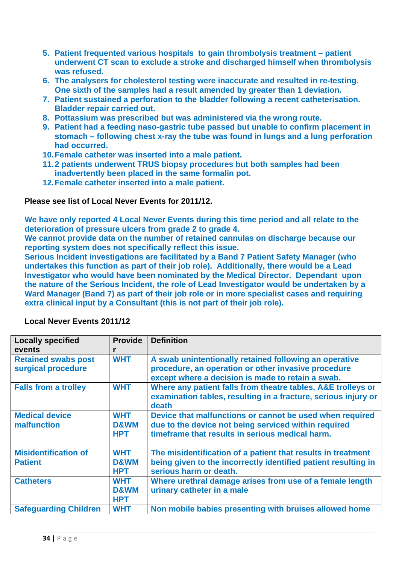- **5. Patient frequented various hospitals to gain thrombolysis treatment patient underwent CT scan to exclude a stroke and discharged himself when thrombolysis was refused.**
- **6. The analysers for cholesterol testing were inaccurate and resulted in re-testing. One sixth of the samples had a result amended by greater than 1 deviation.**
- **7. Patient sustained a perforation to the bladder following a recent catheterisation. Bladder repair carried out.**
- **8. Pottassium was prescribed but was administered via the wrong route.**
- **9. Patient had a feeding naso-gastric tube passed but unable to confirm placement in stomach – following chest x-ray the tube was found in lungs and a lung perforation had occurred.**
- **10. Female catheter was inserted into a male patient.**
- **11. 2 patients underwent TRUS biopsy procedures but both samples had been inadvertently been placed in the same formalin pot.**
- **12. Female catheter inserted into a male patient.**

# **Please see list of Local Never Events for 2011/12.**

**We have only reported 4 Local Never Events during this time period and all relate to the deterioration of pressure ulcers from grade 2 to grade 4.** 

**We cannot provide data on the number of retained cannulas on discharge because our reporting system does not specifically reflect this issue.** 

**Serious Incident investigations are facilitated by a Band 7 Patient Safety Manager (who undertakes this function as part of their job role). Additionally, there would be a Lead Investigator who would have been nominated by the Medical Director. Dependant upon the nature of the Serious Incident, the role of Lead Investigator would be undertaken by a Ward Manager (Band 7) as part of their job role or in more specialist cases and requiring extra clinical input by a Consultant (this is not part of their job role).** 

| <b>Locally specified</b>                         | <b>Provide</b>                              | <b>Definition</b>                                                                                                                                                   |
|--------------------------------------------------|---------------------------------------------|---------------------------------------------------------------------------------------------------------------------------------------------------------------------|
| events                                           |                                             |                                                                                                                                                                     |
| <b>Retained swabs post</b><br>surgical procedure | <b>WHT</b>                                  | A swab unintentionally retained following an operative<br>procedure, an operation or other invasive procedure<br>except where a decision is made to retain a swab.  |
| <b>Falls from a trolley</b>                      | <b>WHT</b>                                  | Where any patient falls from theatre tables, A&E trolleys or<br>examination tables, resulting in a fracture, serious injury or<br>death                             |
| <b>Medical device</b><br>malfunction             | <b>WHT</b><br>D&WM<br><b>HPT</b>            | Device that malfunctions or cannot be used when required<br>due to the device not being serviced within required<br>timeframe that results in serious medical harm. |
| <b>Misidentification of</b><br><b>Patient</b>    | <b>WHT</b><br><b>D&amp;WM</b><br><b>HPT</b> | The misidentification of a patient that results in treatment<br>being given to the incorrectly identified patient resulting in<br>serious harm or death.            |
| <b>Catheters</b>                                 | <b>WHT</b><br>D&WM<br><b>HPT</b>            | Where urethral damage arises from use of a female length<br>urinary catheter in a male                                                                              |
| <b>Safeguarding Children</b>                     | <b>WHT</b>                                  | Non mobile babies presenting with bruises allowed home                                                                                                              |

### **Local Never Events 2011/12**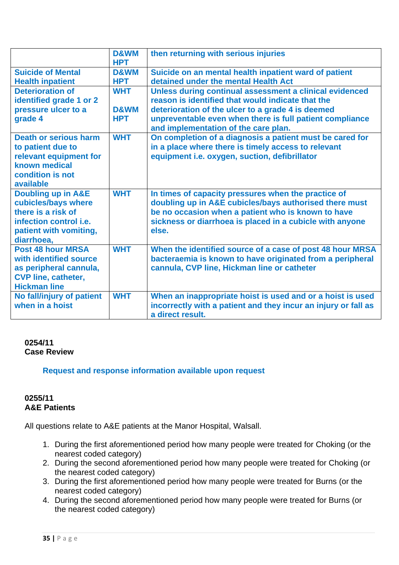|                               | D&WM<br><b>HPT</b> | then returning with serious injuries                                                                          |
|-------------------------------|--------------------|---------------------------------------------------------------------------------------------------------------|
| <b>Suicide of Mental</b>      | D&WM               | Suicide on an mental health inpatient ward of patient                                                         |
| <b>Health inpatient</b>       | <b>HPT</b>         | detained under the mental Health Act                                                                          |
| <b>Deterioration of</b>       | <b>WHT</b>         | Unless during continual assessment a clinical evidenced                                                       |
| identified grade 1 or 2       |                    | reason is identified that would indicate that the                                                             |
| pressure ulcer to a           | <b>D&amp;WM</b>    | deterioration of the ulcer to a grade 4 is deemed                                                             |
| grade 4                       | <b>HPT</b>         | unpreventable even when there is full patient compliance                                                      |
|                               |                    | and implementation of the care plan.                                                                          |
| <b>Death or serious harm</b>  | <b>WHT</b>         | On completion of a diagnosis a patient must be cared for                                                      |
| to patient due to             |                    | in a place where there is timely access to relevant                                                           |
| relevant equipment for        |                    | equipment i.e. oxygen, suction, defibrillator                                                                 |
| known medical                 |                    |                                                                                                               |
| condition is not<br>available |                    |                                                                                                               |
| <b>Doubling up in A&amp;E</b> | <b>WHT</b>         |                                                                                                               |
| cubicles/bays where           |                    | In times of capacity pressures when the practice of<br>doubling up in A&E cubicles/bays authorised there must |
| there is a risk of            |                    | be no occasion when a patient who is known to have                                                            |
| infection control <i>i.e.</i> |                    | sickness or diarrhoea is placed in a cubicle with anyone                                                      |
| patient with vomiting,        |                    | else.                                                                                                         |
| diarrhoea,                    |                    |                                                                                                               |
| <b>Post 48 hour MRSA</b>      | <b>WHT</b>         | When the identified source of a case of post 48 hour MRSA                                                     |
| with identified source        |                    | bacteraemia is known to have originated from a peripheral                                                     |
| as peripheral cannula,        |                    | cannula, CVP line, Hickman line or catheter                                                                   |
| <b>CVP line, catheter,</b>    |                    |                                                                                                               |
| <b>Hickman line</b>           |                    |                                                                                                               |
| No fall/injury of patient     | <b>WHT</b>         | When an inappropriate hoist is used and or a hoist is used                                                    |
| when in a hoist               |                    | incorrectly with a patient and they incur an injury or fall as                                                |
|                               |                    | a direct result.                                                                                              |

# **0254/11 Case Review**

# **Request and response information available upon request**

# **0255/11 A&E Patients**

All questions relate to A&E patients at the Manor Hospital, Walsall.

- 1. During the first aforementioned period how many people were treated for Choking (or the nearest coded category)
- 2. During the second aforementioned period how many people were treated for Choking (or the nearest coded category)
- 3. During the first aforementioned period how many people were treated for Burns (or the nearest coded category)
- 4. During the second aforementioned period how many people were treated for Burns (or the nearest coded category)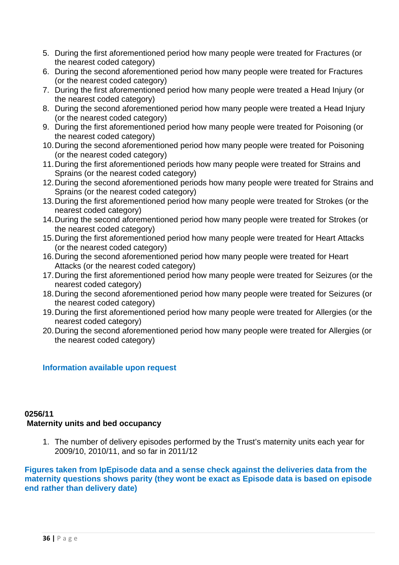- 5. During the first aforementioned period how many people were treated for Fractures (or the nearest coded category)
- 6. During the second aforementioned period how many people were treated for Fractures (or the nearest coded category)
- 7. During the first aforementioned period how many people were treated a Head Injury (or the nearest coded category)
- 8. During the second aforementioned period how many people were treated a Head Injury (or the nearest coded category)
- 9. During the first aforementioned period how many people were treated for Poisoning (or the nearest coded category)
- 10. During the second aforementioned period how many people were treated for Poisoning (or the nearest coded category)
- 11. During the first aforementioned periods how many people were treated for Strains and Sprains (or the nearest coded category)
- 12. During the second aforementioned periods how many people were treated for Strains and Sprains (or the nearest coded category)
- 13. During the first aforementioned period how many people were treated for Strokes (or the nearest coded category)
- 14. During the second aforementioned period how many people were treated for Strokes (or the nearest coded category)
- 15. During the first aforementioned period how many people were treated for Heart Attacks (or the nearest coded category)
- 16. During the second aforementioned period how many people were treated for Heart Attacks (or the nearest coded category)
- 17. During the first aforementioned period how many people were treated for Seizures (or the nearest coded category)
- 18. During the second aforementioned period how many people were treated for Seizures (or the nearest coded category)
- 19. During the first aforementioned period how many people were treated for Allergies (or the nearest coded category)
- 20. During the second aforementioned period how many people were treated for Allergies (or the nearest coded category)

# **Information available upon request**

### **0256/11 Maternity units and bed occupancy**

1. The number of delivery episodes performed by the Trust's maternity units each year for 2009/10, 2010/11, and so far in 2011/12

**Figures taken from IpEpisode data and a sense check against the deliveries data from the maternity questions shows parity (they wont be exact as Episode data is based on episode end rather than delivery date)**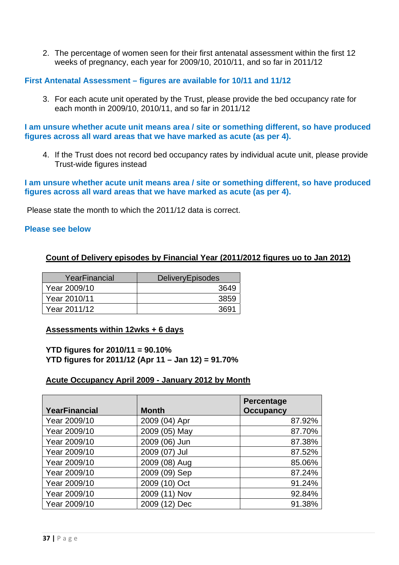2. The percentage of women seen for their first antenatal assessment within the first 12 weeks of pregnancy, each year for 2009/10, 2010/11, and so far in 2011/12

#### **First Antenatal Assessment – figures are available for 10/11 and 11/12**

3. For each acute unit operated by the Trust, please provide the bed occupancy rate for each month in 2009/10, 2010/11, and so far in 2011/12

**I am unsure whether acute unit means area / site or something different, so have produced figures across all ward areas that we have marked as acute (as per 4).** 

4. If the Trust does not record bed occupancy rates by individual acute unit, please provide Trust-wide figures instead

**I am unsure whether acute unit means area / site or something different, so have produced figures across all ward areas that we have marked as acute (as per 4).** 

Please state the month to which the 2011/12 data is correct.

#### **Please see below**

## **Count of Delivery episodes by Financial Year (2011/2012 figures uo to Jan 2012)**

| YearFinancial | <b>DeliveryEpisodes</b> |
|---------------|-------------------------|
| Year 2009/10  | 3649                    |
| Year 2010/11  | 3859                    |
| Year 2011/12  | 3691                    |

#### **Assessments within 12wks + 6 days**

**YTD figures for 2010/11 = 90.10% YTD figures for 2011/12 (Apr 11 – Jan 12) = 91.70%** 

## **Acute Occupancy April 2009 - January 2012 by Month**

| <b>YearFinancial</b> | <b>Month</b>  | <b>Percentage</b><br><b>Occupancy</b> |
|----------------------|---------------|---------------------------------------|
| Year 2009/10         | 2009 (04) Apr | 87.92%                                |
| Year 2009/10         | 2009 (05) May | 87.70%                                |
| Year 2009/10         | 2009 (06) Jun | 87.38%                                |
| Year 2009/10         | 2009 (07) Jul | 87.52%                                |
| Year 2009/10         | 2009 (08) Aug | 85.06%                                |
| Year 2009/10         | 2009 (09) Sep | 87.24%                                |
| Year 2009/10         | 2009 (10) Oct | 91.24%                                |
| Year 2009/10         | 2009 (11) Nov | 92.84%                                |
| Year 2009/10         | 2009 (12) Dec | 91.38%                                |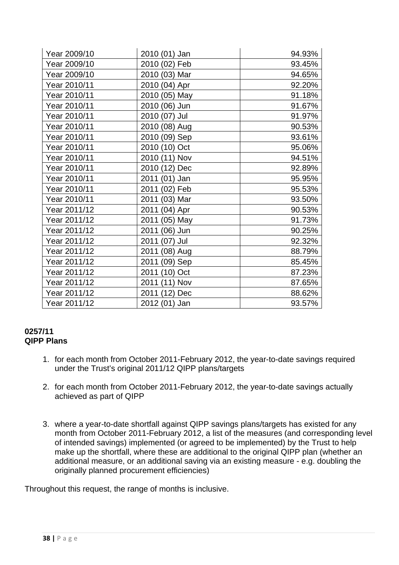| Year 2009/10 | 2010 (01) Jan | 94.93% |
|--------------|---------------|--------|
| Year 2009/10 | 2010 (02) Feb | 93.45% |
| Year 2009/10 | 2010 (03) Mar | 94.65% |
| Year 2010/11 | 2010 (04) Apr | 92.20% |
| Year 2010/11 | 2010 (05) May | 91.18% |
| Year 2010/11 | 2010 (06) Jun | 91.67% |
| Year 2010/11 | 2010 (07) Jul | 91.97% |
| Year 2010/11 | 2010 (08) Aug | 90.53% |
| Year 2010/11 | 2010 (09) Sep | 93.61% |
| Year 2010/11 | 2010 (10) Oct | 95.06% |
| Year 2010/11 | 2010 (11) Nov | 94.51% |
| Year 2010/11 | 2010 (12) Dec | 92.89% |
| Year 2010/11 | 2011 (01) Jan | 95.95% |
| Year 2010/11 | 2011 (02) Feb | 95.53% |
| Year 2010/11 | 2011 (03) Mar | 93.50% |
| Year 2011/12 | 2011 (04) Apr | 90.53% |
| Year 2011/12 | 2011 (05) May | 91.73% |
| Year 2011/12 | 2011 (06) Jun | 90.25% |
| Year 2011/12 | 2011 (07) Jul | 92.32% |
| Year 2011/12 | 2011 (08) Aug | 88.79% |
| Year 2011/12 | 2011 (09) Sep | 85.45% |
| Year 2011/12 | 2011 (10) Oct | 87.23% |
| Year 2011/12 | 2011 (11) Nov | 87.65% |
| Year 2011/12 | 2011 (12) Dec | 88.62% |
| Year 2011/12 | 2012 (01) Jan | 93.57% |

## **0257/11 QIPP Plans**

- 1. for each month from October 2011-February 2012, the year-to-date savings required under the Trust's original 2011/12 QIPP plans/targets
- 2. for each month from October 2011-February 2012, the year-to-date savings actually achieved as part of QIPP
- 3. where a year-to-date shortfall against QIPP savings plans/targets has existed for any month from October 2011-February 2012, a list of the measures (and corresponding level of intended savings) implemented (or agreed to be implemented) by the Trust to help make up the shortfall, where these are additional to the original QIPP plan (whether an additional measure, or an additional saving via an existing measure - e.g. doubling the originally planned procurement efficiencies)

Throughout this request, the range of months is inclusive.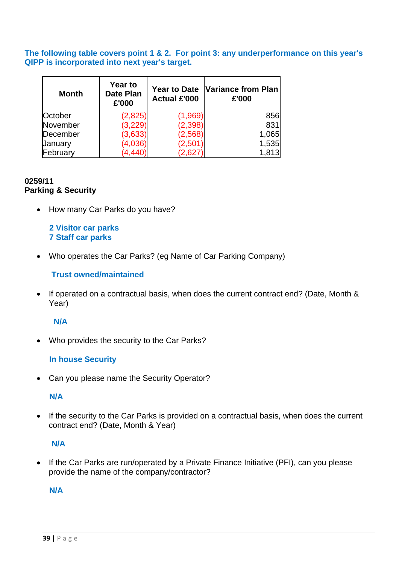**The following table covers point 1 & 2. For point 3: any underperformance on this year's QIPP is incorporated into next year's target.** 

| <b>Month</b> | <b>Year to</b><br><b>Date Plan</b><br>£'000 | <b>Year to Date</b><br><b>Actual £'000</b> | Variance from Plan<br>£'000 |  |
|--------------|---------------------------------------------|--------------------------------------------|-----------------------------|--|
| October      | (2,825)                                     | (1,969)                                    | 856                         |  |
| November     | (3, 229)                                    | (2, 398)                                   | 831                         |  |
| December     | (3,633)                                     | (2, 568)                                   | 1,065                       |  |
| January      | (4,036)                                     | (2,501)                                    | 1,535                       |  |
| February     | (4, 440)                                    | (2,627)                                    | 1,813                       |  |

## **0259/11 Parking & Security**

• How many Car Parks do you have?

 **2 Visitor car parks 7 Staff car parks** 

• Who operates the Car Parks? (eg Name of Car Parking Company)

# **Trust owned/maintained**

• If operated on a contractual basis, when does the current contract end? (Date, Month & Year)

## **N/A**

• Who provides the security to the Car Parks?

## **In house Security**

• Can you please name the Security Operator?

## **N/A**

• If the security to the Car Parks is provided on a contractual basis, when does the current contract end? (Date, Month & Year)

## **N/A**

• If the Car Parks are run/operated by a Private Finance Initiative (PFI), can you please provide the name of the company/contractor?

## **N/A**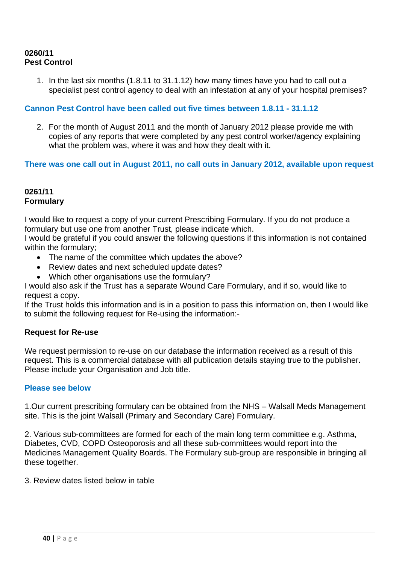## **0260/11 Pest Control**

1. In the last six months (1.8.11 to 31.1.12) how many times have you had to call out a specialist pest control agency to deal with an infestation at any of your hospital premises?

## **Cannon Pest Control have been called out five times between 1.8.11 - 31.1.12**

2. For the month of August 2011 and the month of January 2012 please provide me with copies of any reports that were completed by any pest control worker/agency explaining what the problem was, where it was and how they dealt with it.

## **There was one call out in August 2011, no call outs in January 2012, available upon request**

## **0261/11 Formulary**

I would like to request a copy of your current Prescribing Formulary. If you do not produce a formulary but use one from another Trust, please indicate which.

I would be grateful if you could answer the following questions if this information is not contained within the formulary;

- The name of the committee which updates the above?
- Review dates and next scheduled update dates?
- Which other organisations use the formulary?

I would also ask if the Trust has a separate Wound Care Formulary, and if so, would like to request a copy.

If the Trust holds this information and is in a position to pass this information on, then I would like to submit the following request for Re-using the information:-

## **Request for Re-use**

We request permission to re-use on our database the information received as a result of this request. This is a commercial database with all publication details staying true to the publisher. Please include your Organisation and Job title.

## **Please see below**

1.Our current prescribing formulary can be obtained from the NHS – Walsall Meds Management site. This is the joint Walsall (Primary and Secondary Care) Formulary.

2. Various sub-committees are formed for each of the main long term committee e.g. Asthma, Diabetes, CVD, COPD Osteoporosis and all these sub-committees would report into the Medicines Management Quality Boards. The Formulary sub-group are responsible in bringing all these together.

3. Review dates listed below in table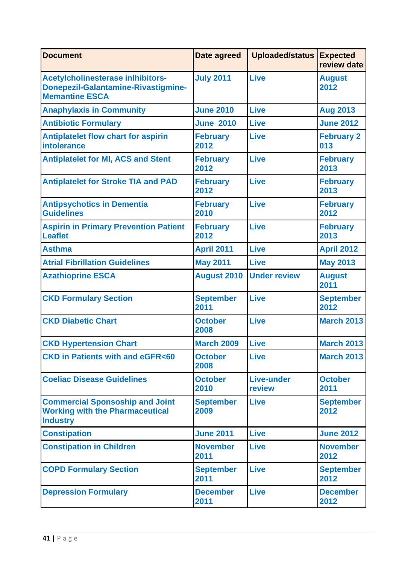| <b>Document</b>                                                                                                 | Date agreed              | <b>Uploaded/status</b>      | <b>Expected</b><br>review date |
|-----------------------------------------------------------------------------------------------------------------|--------------------------|-----------------------------|--------------------------------|
| <b>Acetylcholinesterase inlhibitors-</b><br><b>Donepezil-Galantamine-Rivastigmine-</b><br><b>Memantine ESCA</b> | <b>July 2011</b>         | <b>Live</b>                 | <b>August</b><br>2012          |
| <b>Anaphylaxis in Community</b>                                                                                 | <b>June 2010</b>         | <b>Live</b>                 | <b>Aug 2013</b>                |
| <b>Antibiotic Formulary</b>                                                                                     | <b>June 2010</b>         | <b>Live</b>                 | <b>June 2012</b>               |
| <b>Antiplatelet flow chart for aspirin</b><br><b>intolerance</b>                                                | <b>February</b><br>2012  | <b>Live</b>                 | <b>February 2</b><br>013       |
| <b>Antiplatelet for MI, ACS and Stent</b>                                                                       | <b>February</b><br>2012  | <b>Live</b>                 | <b>February</b><br>2013        |
| <b>Antiplatelet for Stroke TIA and PAD</b>                                                                      | <b>February</b><br>2012  | <b>Live</b>                 | <b>February</b><br>2013        |
| <b>Antipsychotics in Dementia</b><br><b>Guidelines</b>                                                          | <b>February</b><br>2010  | <b>Live</b>                 | <b>February</b><br>2012        |
| <b>Aspirin in Primary Prevention Patient</b><br><b>Leaflet</b>                                                  | <b>February</b><br>2012  | <b>Live</b>                 | <b>February</b><br>2013        |
| <b>Asthma</b>                                                                                                   | <b>April 2011</b>        | <b>Live</b>                 | <b>April 2012</b>              |
| <b>Atrial Fibrillation Guidelines</b>                                                                           | <b>May 2011</b>          | <b>Live</b>                 | <b>May 2013</b>                |
| <b>Azathioprine ESCA</b>                                                                                        | <b>August 2010</b>       | <b>Under review</b>         | <b>August</b><br>2011          |
| <b>CKD Formulary Section</b>                                                                                    | <b>September</b><br>2011 | <b>Live</b>                 | <b>September</b><br>2012       |
| <b>CKD Diabetic Chart</b>                                                                                       | <b>October</b><br>2008   | <b>Live</b>                 | <b>March 2013</b>              |
| <b>CKD Hypertension Chart</b>                                                                                   | <b>March 2009</b>        | <b>Live</b>                 | <b>March 2013</b>              |
| <b>CKD in Patients with and eGFR&lt;60</b>                                                                      | <b>October</b><br>2008   | <b>Live</b>                 | <b>March 2013</b>              |
| <b>Coeliac Disease Guidelines</b>                                                                               | <b>October</b><br>2010   | <b>Live-under</b><br>review | <b>October</b><br>2011         |
| <b>Commercial Sponsoship and Joint</b><br><b>Working with the Pharmaceutical</b><br><b>Industry</b>             | <b>September</b><br>2009 | <b>Live</b>                 | <b>September</b><br>2012       |
| <b>Constipation</b>                                                                                             | <b>June 2011</b>         | <b>Live</b>                 | <b>June 2012</b>               |
| <b>Constipation in Children</b>                                                                                 | <b>November</b><br>2011  | <b>Live</b>                 | <b>November</b><br>2012        |
| <b>COPD Formulary Section</b>                                                                                   | <b>September</b><br>2011 | <b>Live</b>                 | <b>September</b><br>2012       |
| <b>Depression Formulary</b>                                                                                     | <b>December</b><br>2011  | <b>Live</b>                 | <b>December</b><br>2012        |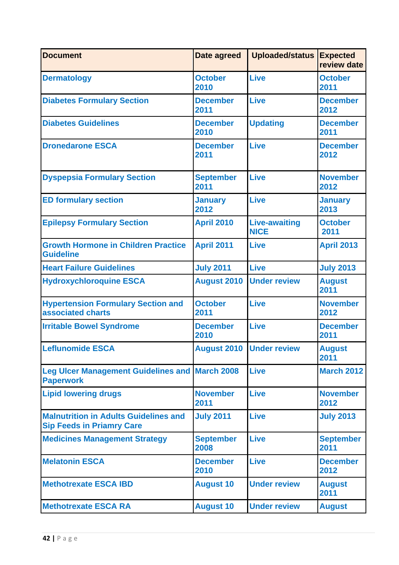| <b>Document</b>                                                                  | Date agreed              | <b>Uploaded/status</b>              | <b>Expected</b><br>review date |
|----------------------------------------------------------------------------------|--------------------------|-------------------------------------|--------------------------------|
| <b>Dermatology</b>                                                               | <b>October</b><br>2010   | <b>Live</b>                         | <b>October</b><br>2011         |
| <b>Diabetes Formulary Section</b>                                                | <b>December</b><br>2011  | <b>Live</b>                         | <b>December</b><br>2012        |
| <b>Diabetes Guidelines</b>                                                       | <b>December</b><br>2010  | <b>Updating</b>                     | <b>December</b><br>2011        |
| <b>Dronedarone ESCA</b>                                                          | <b>December</b><br>2011  | <b>Live</b>                         | <b>December</b><br>2012        |
| <b>Dyspepsia Formulary Section</b>                                               | <b>September</b><br>2011 | Live                                | <b>November</b><br>2012        |
| <b>ED formulary section</b>                                                      | <b>January</b><br>2012   | <b>Live</b>                         | <b>January</b><br>2013         |
| <b>Epilepsy Formulary Section</b>                                                | <b>April 2010</b>        | <b>Live-awaiting</b><br><b>NICE</b> | <b>October</b><br>2011         |
| <b>Growth Hormone in Children Practice</b><br><b>Guideline</b>                   | <b>April 2011</b>        | <b>Live</b>                         | <b>April 2013</b>              |
| <b>Heart Failure Guidelines</b>                                                  | <b>July 2011</b>         | Live                                | <b>July 2013</b>               |
| <b>Hydroxychloroquine ESCA</b>                                                   | <b>August 2010</b>       | <b>Under review</b>                 | <b>August</b><br>2011          |
| <b>Hypertension Formulary Section and</b><br>associated charts                   | <b>October</b><br>2011   | <b>Live</b>                         | <b>November</b><br>2012        |
| <b>Irritable Bowel Syndrome</b>                                                  | <b>December</b><br>2010  | <b>Live</b>                         | <b>December</b><br>2011        |
| <b>Leflunomide ESCA</b>                                                          |                          | <b>August 2010 Under review</b>     | <b>August</b><br>2011          |
| <b>Leg Ulcer Management Guidelines and March 2008</b><br><b>Paperwork</b>        |                          | <b>Live</b>                         | <b>March 2012</b>              |
| <b>Lipid lowering drugs</b>                                                      | <b>November</b><br>2011  | <b>Live</b>                         | <b>November</b><br>2012        |
| <b>Malnutrition in Adults Guidelines and</b><br><b>Sip Feeds in Priamry Care</b> | <b>July 2011</b>         | <b>Live</b>                         | <b>July 2013</b>               |
| <b>Medicines Management Strategy</b>                                             | <b>September</b><br>2008 | <b>Live</b>                         | <b>September</b><br>2011       |
| <b>Melatonin ESCA</b>                                                            | <b>December</b><br>2010  | <b>Live</b>                         | <b>December</b><br>2012        |
| <b>Methotrexate ESCA IBD</b>                                                     | <b>August 10</b>         | <b>Under review</b>                 | <b>August</b><br>2011          |
| <b>Methotrexate ESCA RA</b>                                                      | <b>August 10</b>         | <b>Under review</b>                 | <b>August</b>                  |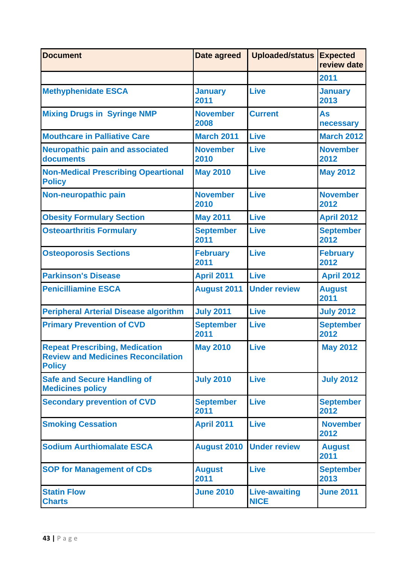| <b>Document</b>                                                                                     | <b>Date agreed</b>       | <b>Uploaded/status</b>              | <b>Expected</b><br>review date |
|-----------------------------------------------------------------------------------------------------|--------------------------|-------------------------------------|--------------------------------|
|                                                                                                     |                          |                                     | 2011                           |
| <b>Methyphenidate ESCA</b>                                                                          | <b>January</b><br>2011   | Live                                | <b>January</b><br>2013         |
| <b>Mixing Drugs in Syringe NMP</b>                                                                  | <b>November</b><br>2008  | <b>Current</b>                      | <b>As</b><br>necessary         |
| <b>Mouthcare in Palliative Care</b>                                                                 | <b>March 2011</b>        | <b>Live</b>                         | <b>March 2012</b>              |
| <b>Neuropathic pain and associated</b><br>documents                                                 | <b>November</b><br>2010  | <b>Live</b>                         | <b>November</b><br>2012        |
| <b>Non-Medical Prescribing Opeartional</b><br><b>Policy</b>                                         | <b>May 2010</b>          | <b>Live</b>                         | <b>May 2012</b>                |
| Non-neuropathic pain                                                                                | <b>November</b><br>2010  | <b>Live</b>                         | <b>November</b><br>2012        |
| <b>Obesity Formulary Section</b>                                                                    | <b>May 2011</b>          | <b>Live</b>                         | <b>April 2012</b>              |
| <b>Osteoarthritis Formulary</b>                                                                     | <b>September</b><br>2011 | <b>Live</b>                         | <b>September</b><br>2012       |
| <b>Osteoporosis Sections</b>                                                                        | <b>February</b><br>2011  | <b>Live</b>                         | <b>February</b><br>2012        |
| <b>Parkinson's Disease</b>                                                                          | <b>April 2011</b>        | <b>Live</b>                         | <b>April 2012</b>              |
| <b>Penicilliamine ESCA</b>                                                                          | <b>August 2011</b>       | <b>Under review</b>                 | <b>August</b><br>2011          |
| <b>Peripheral Arterial Disease algorithm</b>                                                        | <b>July 2011</b>         | <b>Live</b>                         | <b>July 2012</b>               |
| <b>Primary Prevention of CVD</b>                                                                    | <b>September</b><br>2011 | <b>Live</b>                         | <b>September</b><br>2012       |
| <b>Repeat Prescribing, Medication</b><br><b>Review and Medicines Reconcilation</b><br><b>Policy</b> | <b>May 2010</b>          | <b>Live</b>                         | <b>May 2012</b>                |
| <b>Safe and Secure Handling of</b><br><b>Medicines policy</b>                                       | <b>July 2010</b>         | <b>Live</b>                         |                                |
| <b>Secondary prevention of CVD</b>                                                                  | <b>September</b><br>2011 | <b>Live</b>                         |                                |
| <b>Smoking Cessation</b>                                                                            | <b>April 2011</b>        | <b>Live</b>                         | <b>November</b><br>2012        |
| <b>Sodium Aurthiomalate ESCA</b>                                                                    | <b>August 2010</b>       | <b>Under review</b>                 | <b>August</b><br>2011          |
| <b>SOP for Management of CDs</b>                                                                    | <b>August</b><br>2011    | <b>Live</b>                         | <b>September</b><br>2013       |
| <b>Statin Flow</b><br><b>Charts</b>                                                                 | <b>June 2010</b>         | <b>Live-awaiting</b><br><b>NICE</b> | <b>June 2011</b>               |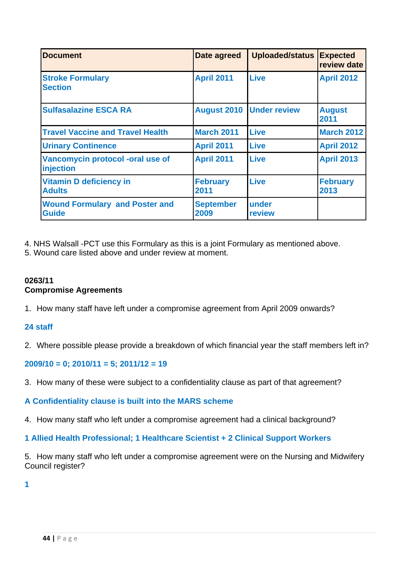| <b>Document</b>                                       | Date agreed              | <b>Uploaded/status</b>          | <b>Expected</b><br>review date |
|-------------------------------------------------------|--------------------------|---------------------------------|--------------------------------|
| <b>Stroke Formulary</b><br><b>Section</b>             | <b>April 2011</b>        | <b>Live</b>                     | <b>April 2012</b>              |
| <b>Sulfasalazine ESCA RA</b>                          |                          | <b>August 2010 Under review</b> | <b>August</b><br>2011          |
| <b>Travel Vaccine and Travel Health</b>               | <b>March 2011</b>        | <b>Live</b>                     | <b>March 2012</b>              |
| <b>Urinary Continence</b>                             | <b>April 2011</b>        | <b>Live</b>                     | <b>April 2012</b>              |
| Vancomycin protocol -oral use of<br>injection         | <b>April 2011</b>        | <b>Live</b>                     | <b>April 2013</b>              |
| <b>Vitamin D deficiency in</b><br><b>Adults</b>       | <b>February</b><br>2011  | <b>Live</b>                     | <b>February</b><br>2013        |
| <b>Wound Formulary and Poster and</b><br><b>Guide</b> | <b>September</b><br>2009 | under<br>review                 |                                |

4. NHS Walsall -PCT use this Formulary as this is a joint Formulary as mentioned above.

5. Wound care listed above and under review at moment.

# **0263/11 Compromise Agreements**

1. How many staff have left under a compromise agreement from April 2009 onwards?

# **24 staff**

2. Where possible please provide a breakdown of which financial year the staff members left in?

# **2009/10 = 0; 2010/11 = 5; 2011/12 = 19**

3. How many of these were subject to a confidentiality clause as part of that agreement?

# **A Confidentiality clause is built into the MARS scheme**

4. How many staff who left under a compromise agreement had a clinical background?

# **1 Allied Health Professional; 1 Healthcare Scientist + 2 Clinical Support Workers**

5. How many staff who left under a compromise agreement were on the Nursing and Midwifery Council register?

**1**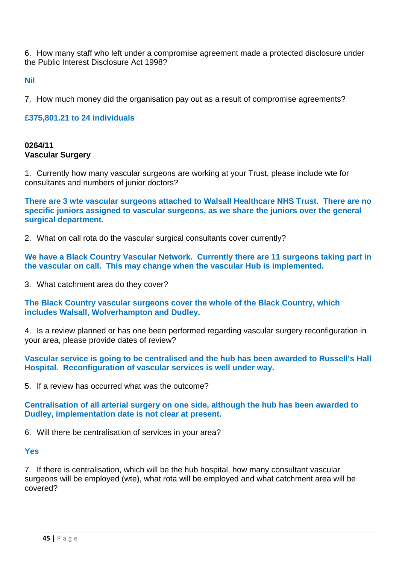6. How many staff who left under a compromise agreement made a protected disclosure under the Public Interest Disclosure Act 1998?

**Nil** 

7. How much money did the organisation pay out as a result of compromise agreements?

## **£375,801.21 to 24 individuals**

## **0264/11 Vascular Surgery**

1. Currently how many vascular surgeons are working at your Trust, please include wte for consultants and numbers of junior doctors?

**There are 3 wte vascular surgeons attached to Walsall Healthcare NHS Trust. There are no specific juniors assigned to vascular surgeons, as we share the juniors over the general surgical department.** 

2. What on call rota do the vascular surgical consultants cover currently?

**We have a Black Country Vascular Network. Currently there are 11 surgeons taking part in the vascular on call. This may change when the vascular Hub is implemented.** 

3. What catchment area do they cover?

**The Black Country vascular surgeons cover the whole of the Black Country, which includes Walsall, Wolverhampton and Dudley.** 

4. Is a review planned or has one been performed regarding vascular surgery reconfiguration in your area, please provide dates of review?

**Vascular service is going to be centralised and the hub has been awarded to Russell's Hall Hospital. Reconfiguration of vascular services is well under way.** 

5. If a review has occurred what was the outcome?

**Centralisation of all arterial surgery on one side, although the hub has been awarded to Dudley, implementation date is not clear at present.** 

6. Will there be centralisation of services in your area?

#### **Yes**

7. If there is centralisation, which will be the hub hospital, how many consultant vascular surgeons will be employed (wte), what rota will be employed and what catchment area will be covered?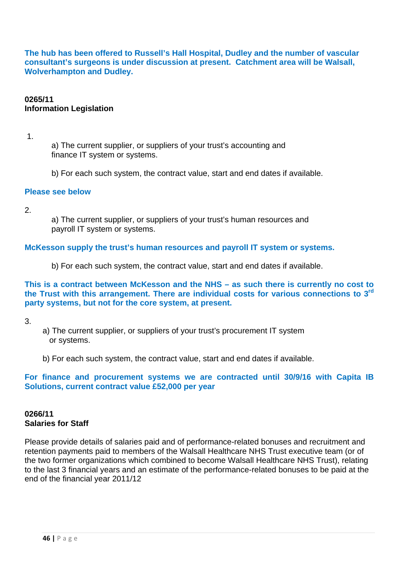**The hub has been offered to Russell's Hall Hospital, Dudley and the number of vascular consultant's surgeons is under discussion at present. Catchment area will be Walsall, Wolverhampton and Dudley.** 

## **0265/11 Information Legislation**

1.

 a) The current supplier, or suppliers of your trust's accounting and finance IT system or systems.

b) For each such system, the contract value, start and end dates if available.

#### **Please see below**

2.

 a) The current supplier, or suppliers of your trust's human resources and payroll IT system or systems.

#### **McKesson supply the trust's human resources and payroll IT system or systems.**

b) For each such system, the contract value, start and end dates if available.

**This is a contract between McKesson and the NHS – as such there is currently no cost to the Trust with this arrangement. There are individual costs for various connections to 3rd party systems, but not for the core system, at present.** 

3.

- a) The current supplier, or suppliers of your trust's procurement IT system or systems.
- b) For each such system, the contract value, start and end dates if available.

## **For finance and procurement systems we are contracted until 30/9/16 with Capita IB Solutions, current contract value £52,000 per year**

## **0266/11 Salaries for Staff**

Please provide details of salaries paid and of performance-related bonuses and recruitment and retention payments paid to members of the Walsall Healthcare NHS Trust executive team (or of the two former organizations which combined to become Walsall Healthcare NHS Trust), relating to the last 3 financial years and an estimate of the performance-related bonuses to be paid at the end of the financial year 2011/12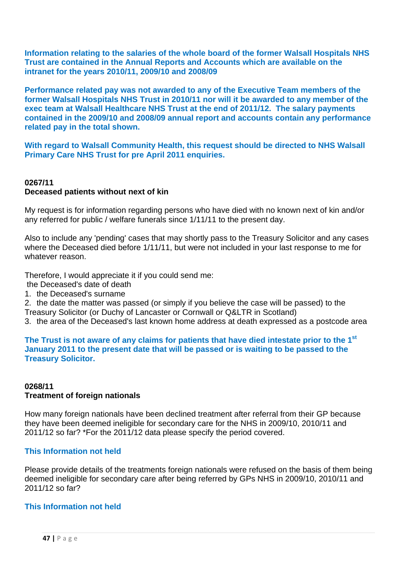**Information relating to the salaries of the whole board of the former Walsall Hospitals NHS Trust are contained in the Annual Reports and Accounts which are available on the intranet for the years 2010/11, 2009/10 and 2008/09** 

**Performance related pay was not awarded to any of the Executive Team members of the former Walsall Hospitals NHS Trust in 2010/11 nor will it be awarded to any member of the exec team at Walsall Healthcare NHS Trust at the end of 2011/12. The salary payments contained in the 2009/10 and 2008/09 annual report and accounts contain any performance related pay in the total shown.** 

**With regard to Walsall Community Health, this request should be directed to NHS Walsall Primary Care NHS Trust for pre April 2011 enquiries.** 

## **0267/11 Deceased patients without next of kin**

My request is for information regarding persons who have died with no known next of kin and/or any referred for public / welfare funerals since 1/11/11 to the present day.

Also to include any 'pending' cases that may shortly pass to the Treasury Solicitor and any cases where the Deceased died before 1/11/11, but were not included in your last response to me for whatever reason.

Therefore, I would appreciate it if you could send me:

the Deceased's date of death

1. the Deceased's surname

2. the date the matter was passed (or simply if you believe the case will be passed) to the Treasury Solicitor (or Duchy of Lancaster or Cornwall or Q&LTR in Scotland)

3. the area of the Deceased's last known home address at death expressed as a postcode area

**The Trust is not aware of any claims for patients that have died intestate prior to the 1st January 2011 to the present date that will be passed or is waiting to be passed to the Treasury Solicitor.** 

## **0268/11 Treatment of foreign nationals**

How many foreign nationals have been declined treatment after referral from their GP because they have been deemed ineligible for secondary care for the NHS in 2009/10, 2010/11 and 2011/12 so far? \*For the 2011/12 data please specify the period covered.

## **This Information not held**

Please provide details of the treatments foreign nationals were refused on the basis of them being deemed ineligible for secondary care after being referred by GPs NHS in 2009/10, 2010/11 and 2011/12 so far?

## **This Information not held**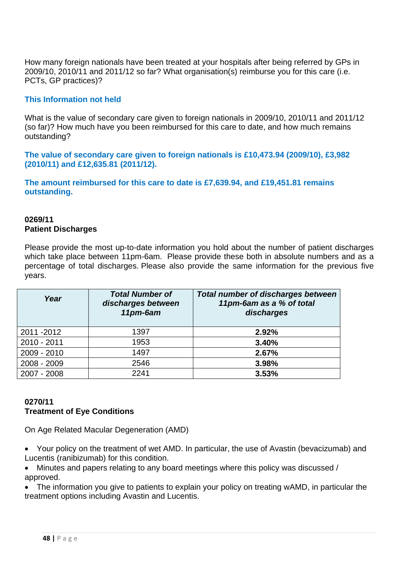How many foreign nationals have been treated at your hospitals after being referred by GPs in 2009/10, 2010/11 and 2011/12 so far? What organisation(s) reimburse you for this care (i.e. PCTs, GP practices)?

## **This Information not held**

What is the value of secondary care given to foreign nationals in 2009/10, 2010/11 and 2011/12 (so far)? How much have you been reimbursed for this care to date, and how much remains outstanding?

**The value of secondary care given to foreign nationals is £10,473.94 (2009/10), £3,982 (2010/11) and £12,635.81 (2011/12).** 

**The amount reimbursed for this care to date is £7,639.94, and £19,451.81 remains outstanding.** 

## **0269/11 Patient Discharges**

Please provide the most up-to-date information you hold about the number of patient discharges which take place between 11pm-6am. Please provide these both in absolute numbers and as a percentage of total discharges. Please also provide the same information for the previous five years.

| Year        | <b>Total Number of</b><br>discharges between<br>11pm-6am | <b>Total number of discharges between</b><br>11pm-6am as a % of total<br>discharges |
|-------------|----------------------------------------------------------|-------------------------------------------------------------------------------------|
| 2011 - 2012 | 1397                                                     | 2.92%                                                                               |
| 2010 - 2011 | 1953                                                     | 3.40%                                                                               |
| 2009 - 2010 | 1497                                                     | 2.67%                                                                               |
| 2008 - 2009 | 2546                                                     | 3.98%                                                                               |
| 2007 - 2008 | 2241                                                     | 3.53%                                                                               |

## **0270/11 Treatment of Eye Conditions**

On Age Related Macular Degeneration (AMD)

• Your policy on the treatment of wet AMD. In particular, the use of Avastin (bevacizumab) and Lucentis (ranibizumab) for this condition.

• Minutes and papers relating to any board meetings where this policy was discussed / approved.

• The information you give to patients to explain your policy on treating wAMD, in particular the treatment options including Avastin and Lucentis.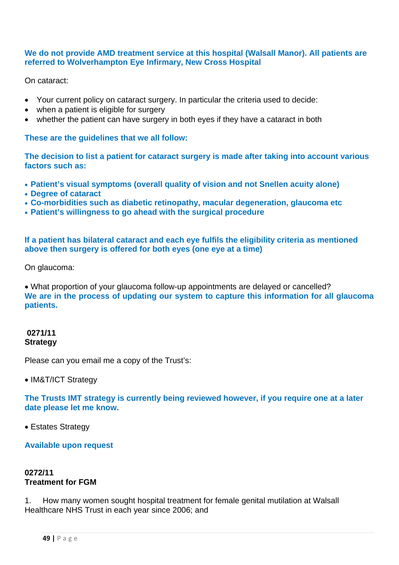#### **We do not provide AMD treatment service at this hospital (Walsall Manor). All patients are referred to Wolverhampton Eye Infirmary, New Cross Hospital**

On cataract:

- Your current policy on cataract surgery. In particular the criteria used to decide:
- when a patient is eligible for surgery
- whether the patient can have surgery in both eyes if they have a cataract in both

## **These are the guidelines that we all follow:**

**The decision to list a patient for cataract surgery is made after taking into account various factors such as:** 

- **Patient's visual symptoms (overall quality of vision and not Snellen acuity alone)**
- **Degree of cataract**
- **Co-morbidities such as diabetic retinopathy, macular degeneration, glaucoma etc**
- **Patient's willingness to go ahead with the surgical procedure**

**If a patient has bilateral cataract and each eye fulfils the eligibility criteria as mentioned above then surgery is offered for both eyes (one eye at a time)** 

On glaucoma:

• What proportion of your glaucoma follow-up appointments are delayed or cancelled? **We are in the process of updating our system to capture this information for all glaucoma patients.** 

## **0271/11 Strategy**

Please can you email me a copy of the Trust's:

## • IM&T/ICT Strategy

**The Trusts IMT strategy is currently being reviewed however, if you require one at a later date please let me know.** 

• Estates Strategy

**Available upon request** 

## **0272/11 Treatment for FGM**

1. How many women sought hospital treatment for female genital mutilation at Walsall Healthcare NHS Trust in each year since 2006; and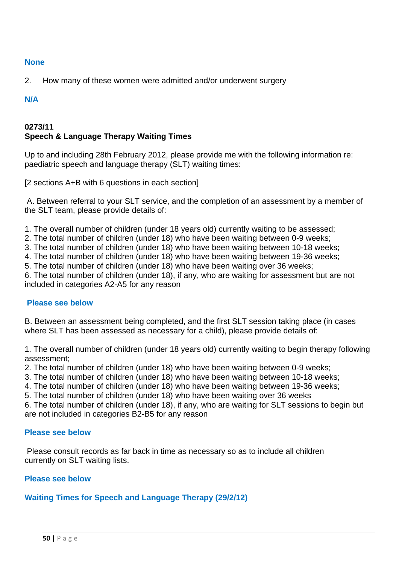#### **None**

2. How many of these women were admitted and/or underwent surgery

#### **N/A**

## **0273/11 Speech & Language Therapy Waiting Times**

Up to and including 28th February 2012, please provide me with the following information re: paediatric speech and language therapy (SLT) waiting times:

[2 sections A+B with 6 questions in each section]

 A. Between referral to your SLT service, and the completion of an assessment by a member of the SLT team, please provide details of:

1. The overall number of children (under 18 years old) currently waiting to be assessed;

2. The total number of children (under 18) who have been waiting between 0-9 weeks;

3. The total number of children (under 18) who have been waiting between 10-18 weeks;

4. The total number of children (under 18) who have been waiting between 19-36 weeks;

5. The total number of children (under 18) who have been waiting over 36 weeks;

6. The total number of children (under 18), if any, who are waiting for assessment but are not included in categories A2-A5 for any reason

## **Please see below**

B. Between an assessment being completed, and the first SLT session taking place (in cases where SLT has been assessed as necessary for a child), please provide details of:

1. The overall number of children (under 18 years old) currently waiting to begin therapy following assessment;

2. The total number of children (under 18) who have been waiting between 0-9 weeks;

3. The total number of children (under 18) who have been waiting between 10-18 weeks;

4. The total number of children (under 18) who have been waiting between 19-36 weeks;

5. The total number of children (under 18) who have been waiting over 36 weeks

6. The total number of children (under 18), if any, who are waiting for SLT sessions to begin but are not included in categories B2-B5 for any reason

#### **Please see below**

 Please consult records as far back in time as necessary so as to include all children currently on SLT waiting lists.

## **Please see below**

## **Waiting Times for Speech and Language Therapy (29/2/12)**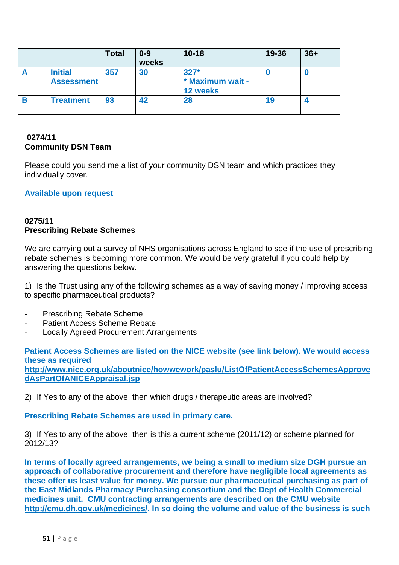|   |                                     | <b>Total</b> | $0 - 9$<br>weeks | $10 - 18$                              | 19-36 | $36+$ |
|---|-------------------------------------|--------------|------------------|----------------------------------------|-------|-------|
| A | <b>Initial</b><br><b>Assessment</b> | 357          | 30               | $327*$<br>* Maximum wait -<br>12 weeks |       |       |
| B | <b>Treatment</b>                    | 93           | 42               | 28                                     | 19    |       |

## **0274/11 Community DSN Team**

Please could you send me a list of your community DSN team and which practices they individually cover.

## **Available upon request**

## **0275/11 Prescribing Rebate Schemes**

We are carrying out a survey of NHS organisations across England to see if the use of prescribing rebate schemes is becoming more common. We would be very grateful if you could help by answering the questions below.

1) Is the Trust using any of the following schemes as a way of saving money / improving access to specific pharmaceutical products?

- ‐ Prescribing Rebate Scheme
- Patient Access Scheme Rebate
- ‐ Locally Agreed Procurement Arrangements

**Patient Access Schemes are listed on the NICE website (see link below). We would access these as required** 

**http://www.nice.org.uk/aboutnice/howwework/paslu/ListOfPatientAccessSchemesApprove dAsPartOfANICEAppraisal.jsp** 

2) If Yes to any of the above, then which drugs / therapeutic areas are involved?

**Prescribing Rebate Schemes are used in primary care.** 

3) If Yes to any of the above, then is this a current scheme (2011/12) or scheme planned for 2012/13?

**In terms of locally agreed arrangements, we being a small to medium size DGH pursue an approach of collaborative procurement and therefore have negligible local agreements as these offer us least value for money. We pursue our pharmaceutical purchasing as part of the East Midlands Pharmacy Purchasing consortium and the Dept of Health Commercial medicines unit. CMU contracting arrangements are described on the CMU website http://cmu.dh.gov.uk/medicines/. In so doing the volume and value of the business is such**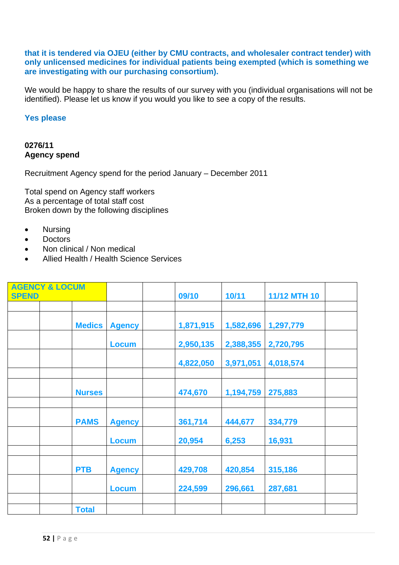## **that it is tendered via OJEU (either by CMU contracts, and wholesaler contract tender) with only unlicensed medicines for individual patients being exempted (which is something we are investigating with our purchasing consortium).**

We would be happy to share the results of our survey with you (individual organisations will not be identified). Please let us know if you would you like to see a copy of the results.

## **Yes please**

#### **0276/11 Agency spend**

Recruitment Agency spend for the period January – December 2011

Total spend on Agency staff workers As a percentage of total staff cost Broken down by the following disciplines

- Nursing
- **Doctors**
- Non clinical / Non medical
- Allied Health / Health Science Services

| <b>AGENCY &amp; LOCUM</b><br><b>SPEND</b> |  |               |               | 09/10     | 10/11     | <b>11/12 MTH 10</b> |
|-------------------------------------------|--|---------------|---------------|-----------|-----------|---------------------|
|                                           |  |               |               |           |           |                     |
|                                           |  | <b>Medics</b> | <b>Agency</b> | 1,871,915 | 1,582,696 | 1,297,779           |
|                                           |  |               | <b>Locum</b>  | 2,950,135 | 2,388,355 | 2,720,795           |
|                                           |  |               |               | 4,822,050 | 3,971,051 | 4,018,574           |
|                                           |  |               |               |           |           |                     |
|                                           |  | <b>Nurses</b> |               | 474,670   | 1,194,759 | 275,883             |
|                                           |  |               |               |           |           |                     |
|                                           |  | <b>PAMS</b>   | <b>Agency</b> | 361,714   | 444,677   | 334,779             |
|                                           |  |               | <b>Locum</b>  | 20,954    | 6,253     | 16,931              |
|                                           |  |               |               |           |           |                     |
|                                           |  | <b>PTB</b>    | <b>Agency</b> | 429,708   | 420,854   | 315,186             |
|                                           |  |               | <b>Locum</b>  | 224,599   | 296,661   | 287,681             |
|                                           |  |               |               |           |           |                     |
|                                           |  | <b>Total</b>  |               |           |           |                     |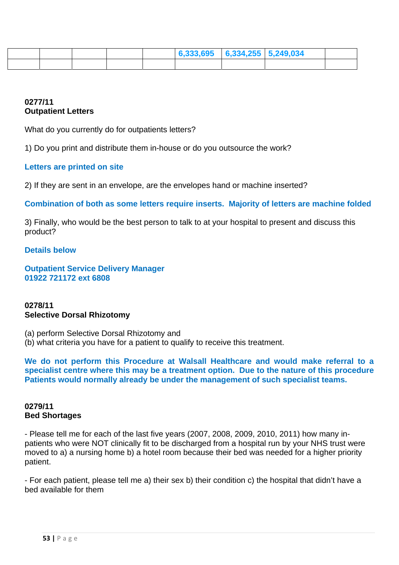|  |  | $\mid 6,333,695 \mid 6,334,255 \mid 5,249,034 \mid$ |  |  |
|--|--|-----------------------------------------------------|--|--|
|  |  |                                                     |  |  |

## **0277/11 Outpatient Letters**

What do you currently do for outpatients letters?

1) Do you print and distribute them in-house or do you outsource the work?

## **Letters are printed on site**

2) If they are sent in an envelope, are the envelopes hand or machine inserted?

**Combination of both as some letters require inserts. Majority of letters are machine folded** 

3) Finally, who would be the best person to talk to at your hospital to present and discuss this product?

#### **Details below**

**Outpatient Service Delivery Manager 01922 721172 ext 6808** 

#### **0278/11 Selective Dorsal Rhizotomy**

(a) perform Selective Dorsal Rhizotomy and (b) what criteria you have for a patient to qualify to receive this treatment.

**We do not perform this Procedure at Walsall Healthcare and would make referral to a specialist centre where this may be a treatment option. Due to the nature of this procedure Patients would normally already be under the management of such specialist teams.** 

## **0279/11 Bed Shortages**

- Please tell me for each of the last five years (2007, 2008, 2009, 2010, 2011) how many inpatients who were NOT clinically fit to be discharged from a hospital run by your NHS trust were moved to a) a nursing home b) a hotel room because their bed was needed for a higher priority patient.

- For each patient, please tell me a) their sex b) their condition c) the hospital that didn't have a bed available for them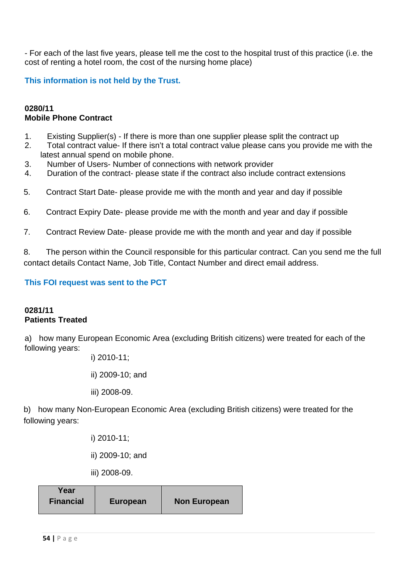- For each of the last five years, please tell me the cost to the hospital trust of this practice (i.e. the cost of renting a hotel room, the cost of the nursing home place)

**This information is not held by the Trust.** 

## **0280/11 Mobile Phone Contract**

- 1. Existing Supplier(s) If there is more than one supplier please split the contract up
- 2. Total contract value- If there isn't a total contract value please cans you provide me with the latest annual spend on mobile phone.
- 3. Number of Users- Number of connections with network provider
- 4. Duration of the contract- please state if the contract also include contract extensions
- 5. Contract Start Date- please provide me with the month and year and day if possible
- 6. Contract Expiry Date- please provide me with the month and year and day if possible
- 7. Contract Review Date- please provide me with the month and year and day if possible

8. The person within the Council responsible for this particular contract. Can you send me the full contact details Contact Name, Job Title, Contact Number and direct email address.

## **This FOI request was sent to the PCT**

#### **0281/11 Patients Treated**

a) how many European Economic Area (excluding British citizens) were treated for each of the following years:

i) 2010-11;

ii) 2009-10; and

iii) 2008-09.

b) how many Non-European Economic Area (excluding British citizens) were treated for the following years:

i) 2010-11;

ii) 2009-10; and

iii) 2008-09.

| Year             |                 |                     |
|------------------|-----------------|---------------------|
| <b>Financial</b> | <b>European</b> | <b>Non European</b> |
|                  |                 |                     |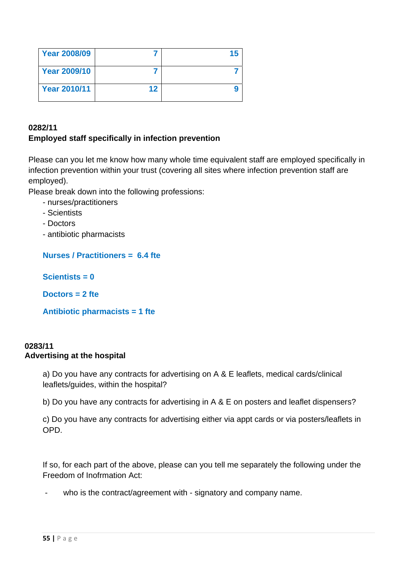| <b>Year 2008/09</b> |    |  |
|---------------------|----|--|
| <b>Year 2009/10</b> |    |  |
| <b>Year 2010/11</b> | 12 |  |

## **0282/11 Employed staff specifically in infection prevention**

Please can you let me know how many whole time equivalent staff are employed specifically in infection prevention within your trust (covering all sites where infection prevention staff are employed).

Please break down into the following professions:

- nurses/practitioners
- Scientists
- Doctors
- antibiotic pharmacists

**Nurses / Practitioners = 6.4 fte** 

**Scientists = 0** 

**Doctors = 2 fte** 

**Antibiotic pharmacists = 1 fte** 

## **0283/11 Advertising at the hospital**

a) Do you have any contracts for advertising on A & E leaflets, medical cards/clinical leaflets/guides, within the hospital?

b) Do you have any contracts for advertising in A & E on posters and leaflet dispensers?

c) Do you have any contracts for advertising either via appt cards or via posters/leaflets in OPD.

If so, for each part of the above, please can you tell me separately the following under the Freedom of Inofrmation Act:

who is the contract/agreement with - signatory and company name.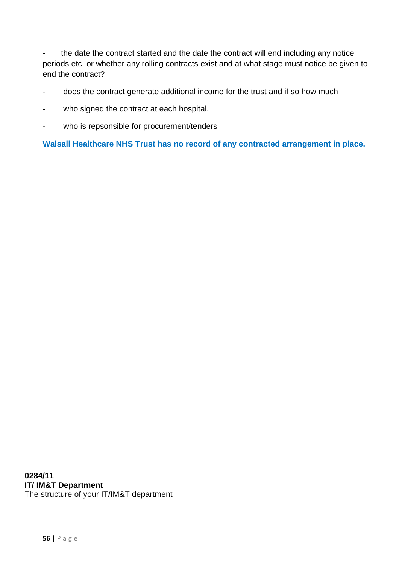- the date the contract started and the date the contract will end including any notice periods etc. or whether any rolling contracts exist and at what stage must notice be given to end the contract?

- does the contract generate additional income for the trust and if so how much
- who signed the contract at each hospital.
- who is repsonsible for procurement/tenders

**Walsall Healthcare NHS Trust has no record of any contracted arrangement in place.** 

**0284/11 IT/ IM&T Department**  The structure of your IT/IM&T department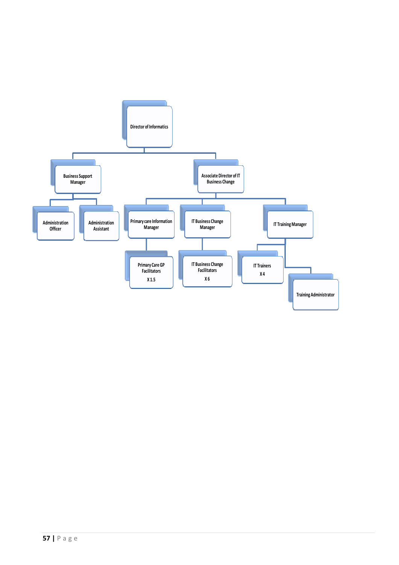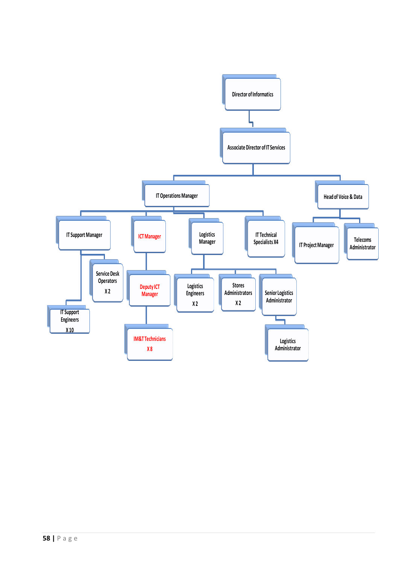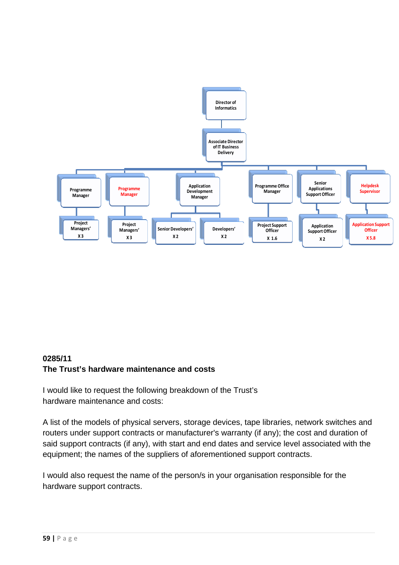

## **0285/11 The Trust's hardware maintenance and costs**

I would like to request the following breakdown of the Trust's hardware maintenance and costs:

A list of the models of physical servers, storage devices, tape libraries, network switches and routers under support contracts or manufacturer's warranty (if any); the cost and duration of said support contracts (if any), with start and end dates and service level associated with the equipment; the names of the suppliers of aforementioned support contracts.

I would also request the name of the person/s in your organisation responsible for the hardware support contracts.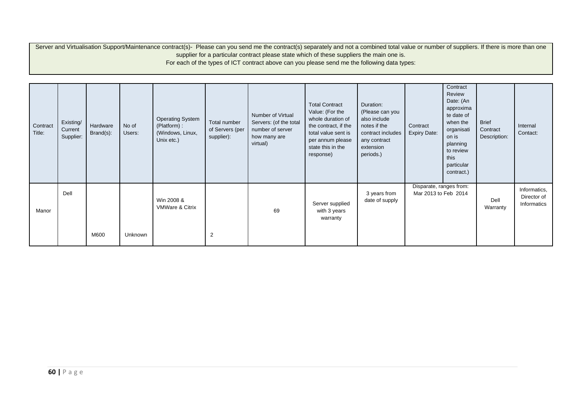Server and Virtualisation Support/Maintenance contract(s)- Please can you send me the contract(s) separately and not a combined total value or number of suppliers. If there is more than one supplier for a particular contract please state which of these suppliers the main one is. For each of the types of ICT contract above can you please send me the following data types:

| Contract<br>Title: | Existing/<br>Current<br>Supplier: | Hardware<br>Brand(s): | No of<br>Users: | <b>Operating System</b><br>(Platform):<br>(Windows, Linux,<br>Unix etc.) | Total number<br>of Servers (per<br>supplier): | Number of Virtual<br>Servers: (of the total<br>number of server<br>how many are<br>virtual) | <b>Total Contract</b><br>Value: (For the<br>whole duration of<br>the contract, if the<br>total value sent is<br>per annum please<br>state this in the<br>response) | Duration:<br>(Please can you<br>also include<br>notes if the<br>contract includes<br>any contract<br>extension<br>periods.) | Contract<br><b>Expiry Date:</b>                 | Contract<br>Review<br>Date: (An<br>approxima<br>te date of<br>when the<br>organisati<br>on is<br>planning<br>to review<br>this<br>particular<br>contract.) | <b>Brief</b><br>Contract<br>Description: | Internal<br>Contact:                       |
|--------------------|-----------------------------------|-----------------------|-----------------|--------------------------------------------------------------------------|-----------------------------------------------|---------------------------------------------------------------------------------------------|--------------------------------------------------------------------------------------------------------------------------------------------------------------------|-----------------------------------------------------------------------------------------------------------------------------|-------------------------------------------------|------------------------------------------------------------------------------------------------------------------------------------------------------------|------------------------------------------|--------------------------------------------|
| Manor              | Dell                              | M600                  | Unknown         | Win 2008 &<br><b>VMWare &amp; Citrix</b>                                 | $\overline{2}$                                | 69                                                                                          | Server supplied<br>with 3 years<br>warranty                                                                                                                        | 3 years from<br>date of supply                                                                                              | Disparate, ranges from:<br>Mar 2013 to Feb 2014 |                                                                                                                                                            | Dell<br>Warranty                         | Informatics,<br>Director of<br>Informatics |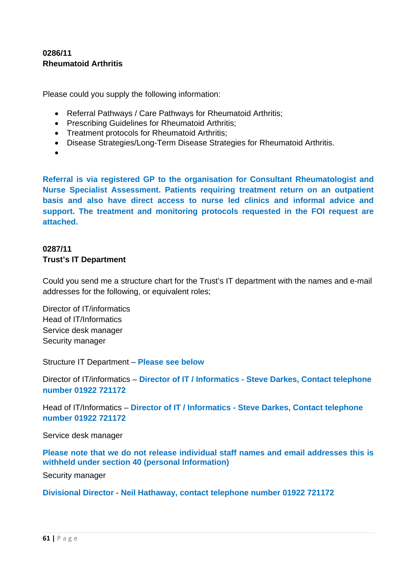## **0286/11 Rheumatoid Arthritis**

Please could you supply the following information:

- Referral Pathways / Care Pathways for Rheumatoid Arthritis;
- Prescribing Guidelines for Rheumatoid Arthritis;
- Treatment protocols for Rheumatoid Arthritis;
- Disease Strategies/Long-Term Disease Strategies for Rheumatoid Arthritis.
- •

**Referral is via registered GP to the organisation for Consultant Rheumatologist and Nurse Specialist Assessment. Patients requiring treatment return on an outpatient basis and also have direct access to nurse led clinics and informal advice and support. The treatment and monitoring protocols requested in the FOI request are attached.** 

# **0287/11 Trust's IT Department**

Could you send me a structure chart for the Trust's IT department with the names and e-mail addresses for the following, or equivalent roles;

Director of IT/informatics Head of IT/Informatics Service desk manager Security manager

Structure IT Department – **Please see below** 

Director of IT/informatics – **Director of IT / Informatics - Steve Darkes, Contact telephone number 01922 721172** 

Head of IT/Informatics – **Director of IT / Informatics - Steve Darkes, Contact telephone number 01922 721172** 

Service desk manager

**Please note that we do not release individual staff names and email addresses this is withheld under section 40 (personal Information)** 

Security manager

**Divisional Director - Neil Hathaway, contact telephone number 01922 721172**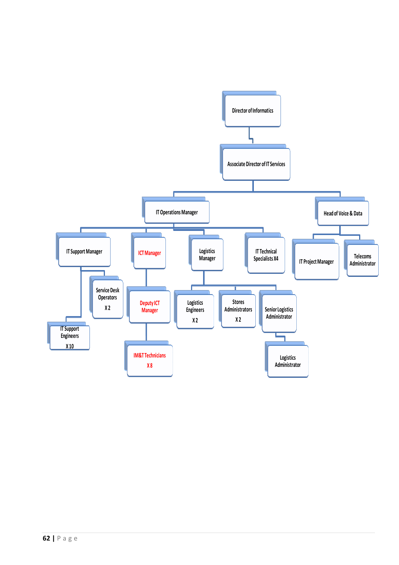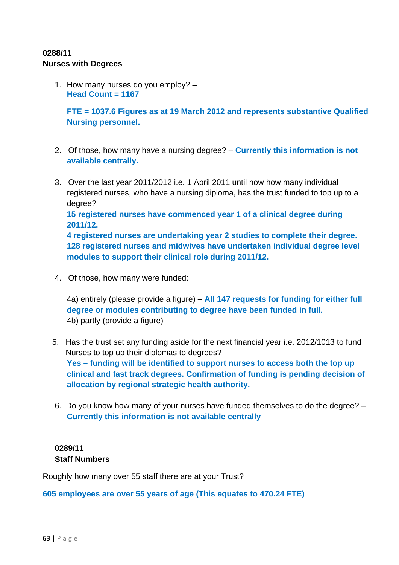## **0288/11 Nurses with Degrees**

1. How many nurses do you employ? – **Head Count = 1167** 

**FTE = 1037.6 Figures as at 19 March 2012 and represents substantive Qualified Nursing personnel.** 

- 2. Of those, how many have a nursing degree? **Currently this information is not available centrally.**
- 3. Over the last year 2011/2012 i.e. 1 April 2011 until now how many individual registered nurses, who have a nursing diploma, has the trust funded to top up to a degree? **15 registered nurses have commenced year 1 of a clinical degree during 2011/12. 4 registered nurses are undertaking year 2 studies to complete their degree. 128 registered nurses and midwives have undertaken individual degree level modules to support their clinical role during 2011/12.**
- 4. Of those, how many were funded:

4a) entirely (please provide a figure) – **All 147 requests for funding for either full degree or modules contributing to degree have been funded in full.**  4b) partly (provide a figure)

- 5. Has the trust set any funding aside for the next financial year i.e. 2012/1013 to fund Nurses to top up their diplomas to degrees? **Yes – funding will be identified to support nurses to access both the top up clinical and fast track degrees. Confirmation of funding is pending decision of allocation by regional strategic health authority.**
- 6. Do you know how many of your nurses have funded themselves to do the degree? **Currently this information is not available centrally**

## **0289/11 Staff Numbers**

Roughly how many over 55 staff there are at your Trust?

**605 employees are over 55 years of age (This equates to 470.24 FTE)**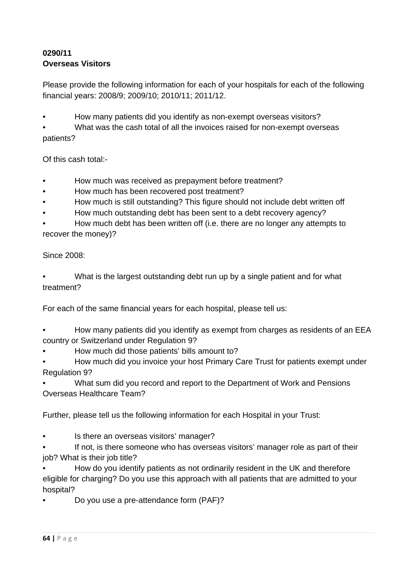# **0290/11 Overseas Visitors**

Please provide the following information for each of your hospitals for each of the following financial years: 2008/9; 2009/10; 2010/11; 2011/12.

• How many patients did you identify as non-exempt overseas visitors?

What was the cash total of all the invoices raised for non-exempt overseas patients?

Of this cash total:-

- How much was received as prepayment before treatment?
- How much has been recovered post treatment?
- How much is still outstanding? This figure should not include debt written off
- How much outstanding debt has been sent to a debt recovery agency?

• How much debt has been written off (i.e. there are no longer any attempts to recover the money)?

Since 2008:

• What is the largest outstanding debt run up by a single patient and for what treatment?

For each of the same financial years for each hospital, please tell us:

• How many patients did you identify as exempt from charges as residents of an EEA country or Switzerland under Regulation 9?

- How much did those patients' bills amount to?
- How much did you invoice your host Primary Care Trust for patients exempt under Regulation 9?

• What sum did you record and report to the Department of Work and Pensions Overseas Healthcare Team?

Further, please tell us the following information for each Hospital in your Trust:

Is there an overseas visitors' manager?

If not, is there someone who has overseas visitors' manager role as part of their job? What is their job title?

• How do you identify patients as not ordinarily resident in the UK and therefore eligible for charging? Do you use this approach with all patients that are admitted to your hospital?

• Do you use a pre-attendance form (PAF)?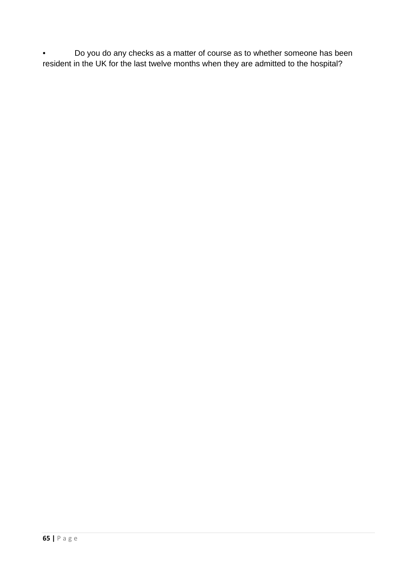• Do you do any checks as a matter of course as to whether someone has been resident in the UK for the last twelve months when they are admitted to the hospital?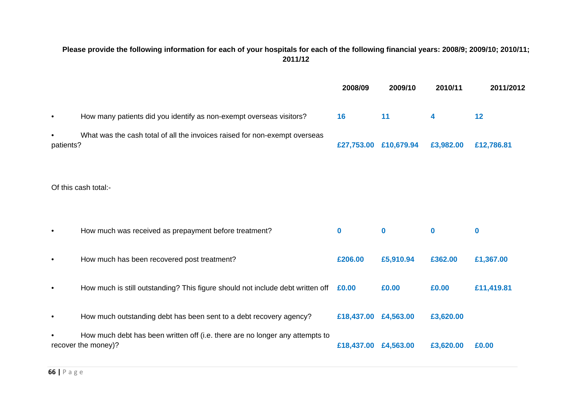## **Please provide the following information for each of your hospitals for each of the following financial years: 2008/9; 2009/10; 2010/11; 2011/12**

|           |                                                                                                     | 2008/09               | 2009/10   | 2010/11   | 2011/2012         |
|-----------|-----------------------------------------------------------------------------------------------------|-----------------------|-----------|-----------|-------------------|
| $\bullet$ | How many patients did you identify as non-exempt overseas visitors?                                 | 16                    | 11        | 4         | $12 \overline{ }$ |
| patients? | What was the cash total of all the invoices raised for non-exempt overseas                          | £27,753.00 £10,679.94 |           | £3,982.00 | £12,786.81        |
|           | Of this cash total:-                                                                                |                       |           |           |                   |
| $\bullet$ | How much was received as prepayment before treatment?                                               | $\bf{0}$              | $\bf{0}$  | $\bf{0}$  | $\bf{0}$          |
| $\bullet$ | How much has been recovered post treatment?                                                         | £206.00               | £5,910.94 | £362.00   | £1,367.00         |
| $\bullet$ | How much is still outstanding? This figure should not include debt written off £0.00                |                       | £0.00     | £0.00     | £11,419.81        |
| $\bullet$ | How much outstanding debt has been sent to a debt recovery agency?                                  | £18,437.00            | £4,563.00 | £3,620.00 |                   |
|           | How much debt has been written off (i.e. there are no longer any attempts to<br>recover the money)? | £18,437.00            | £4,563.00 | £3,620.00 | £0.00             |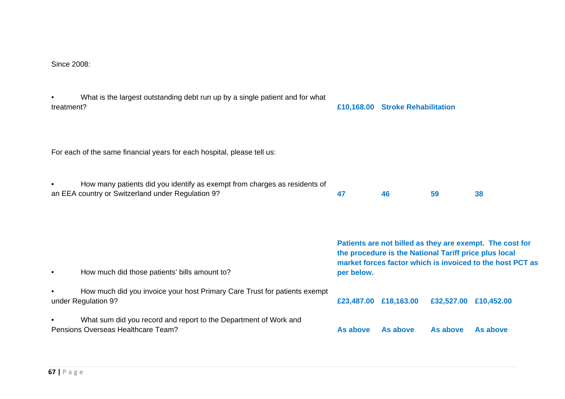#### Since 2008:

| treatment? | What is the largest outstanding debt run up by a single patient and for what                                                   |            | £10,168.00 Stroke Rehabilitation                                                                                                                                               |            |            |  |
|------------|--------------------------------------------------------------------------------------------------------------------------------|------------|--------------------------------------------------------------------------------------------------------------------------------------------------------------------------------|------------|------------|--|
|            | For each of the same financial years for each hospital, please tell us:                                                        |            |                                                                                                                                                                                |            |            |  |
|            | How many patients did you identify as exempt from charges as residents of<br>an EEA country or Switzerland under Regulation 9? | 47         | 46                                                                                                                                                                             | 59         | 38         |  |
| $\bullet$  | How much did those patients' bills amount to?                                                                                  | per below. | Patients are not billed as they are exempt. The cost for<br>the procedure is the National Tariff price plus local<br>market forces factor which is invoiced to the host PCT as |            |            |  |
|            | How much did you invoice your host Primary Care Trust for patients exempt<br>under Regulation 9?                               |            | £23,487.00 £18,163.00                                                                                                                                                          | £32,527.00 | £10,452.00 |  |
| $\bullet$  | What sum did you record and report to the Department of Work and                                                               |            |                                                                                                                                                                                |            |            |  |

Pensions Overseas Healthcare Team? **As above As above As above As above**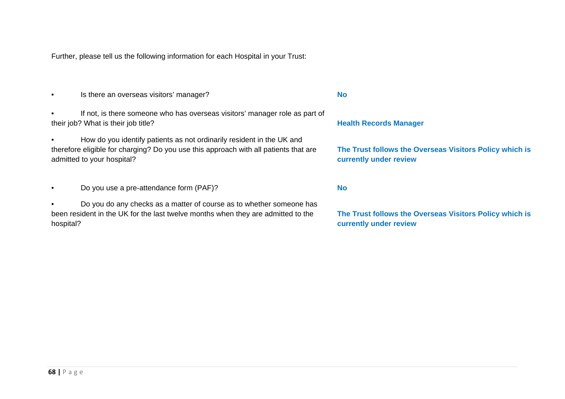Further, please tell us the following information for each Hospital in your Trust:

- Is there an overseas visitors' manager? **No**
- If not, is there someone who has overseas visitors' manager role as part of their job? What is their job title? **Health Records Manager Health Records Manager Health Records Manager**
- How do you identify patients as not ordinarily resident in the UK and therefore eligible for charging? Do you use this approach with all patients that are admitted to your hospital?
- Do you use a pre-attendance form (PAF)? **No**
- Do you do any checks as a matter of course as to whether someone has been resident in the UK for the last twelve months when they are admitted to the hospital?

**The Trust follows the Overseas Visitors Policy which is currently under review** 

**The Trust follows the Overseas Visitors Policy which is currently under review**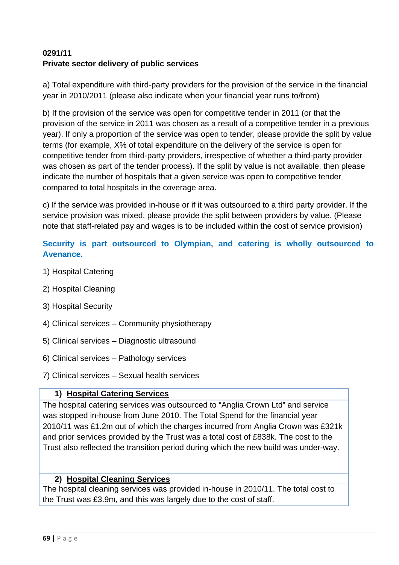# **0291/11 Private sector delivery of public services**

a) Total expenditure with third-party providers for the provision of the service in the financial year in 2010/2011 (please also indicate when your financial year runs to/from)

b) If the provision of the service was open for competitive tender in 2011 (or that the provision of the service in 2011 was chosen as a result of a competitive tender in a previous year). If only a proportion of the service was open to tender, please provide the split by value terms (for example, X% of total expenditure on the delivery of the service is open for competitive tender from third-party providers, irrespective of whether a third-party provider was chosen as part of the tender process). If the split by value is not available, then please indicate the number of hospitals that a given service was open to competitive tender compared to total hospitals in the coverage area.

c) If the service was provided in-house or if it was outsourced to a third party provider. If the service provision was mixed, please provide the split between providers by value. (Please note that staff-related pay and wages is to be included within the cost of service provision)

# **Security is part outsourced to Olympian, and catering is wholly outsourced to Avenance.**

- 1) Hospital Catering
- 2) Hospital Cleaning
- 3) Hospital Security
- 4) Clinical services Community physiotherapy
- 5) Clinical services Diagnostic ultrasound
- 6) Clinical services Pathology services
- 7) Clinical services Sexual health services

# **1) Hospital Catering Services**

The hospital catering services was outsourced to "Anglia Crown Ltd" and service was stopped in-house from June 2010. The Total Spend for the financial year 2010/11 was £1.2m out of which the charges incurred from Anglia Crown was £321k and prior services provided by the Trust was a total cost of £838k. The cost to the Trust also reflected the transition period during which the new build was under-way.

## **2) Hospital Cleaning Services**

The hospital cleaning services was provided in-house in 2010/11. The total cost to the Trust was £3.9m, and this was largely due to the cost of staff.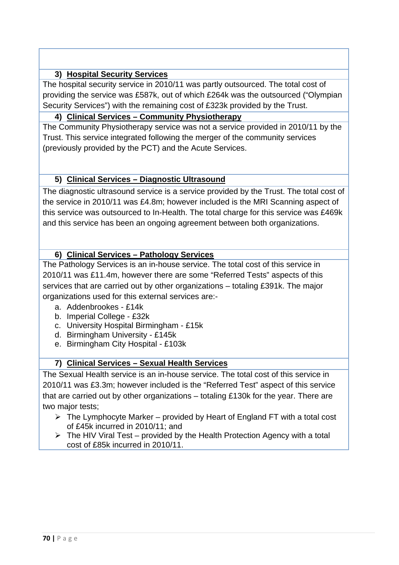# **3) Hospital Security Services**

The hospital security service in 2010/11 was partly outsourced. The total cost of providing the service was £587k, out of which £264k was the outsourced ("Olympian Security Services") with the remaining cost of £323k provided by the Trust.

## **4) Clinical Services – Community Physiotherapy**

The Community Physiotherapy service was not a service provided in 2010/11 by the Trust. This service integrated following the merger of the community services (previously provided by the PCT) and the Acute Services.

# **5) Clinical Services – Diagnostic Ultrasound**

The diagnostic ultrasound service is a service provided by the Trust. The total cost of the service in 2010/11 was £4.8m; however included is the MRI Scanning aspect of this service was outsourced to In-Health. The total charge for this service was £469k and this service has been an ongoing agreement between both organizations.

# **6) Clinical Services – Pathology Services**

The Pathology Services is an in-house service. The total cost of this service in 2010/11 was £11.4m, however there are some "Referred Tests" aspects of this services that are carried out by other organizations – totaling £391k. The major organizations used for this external services are:-

- a. Addenbrookes £14k
- b. Imperial College £32k
- c. University Hospital Birmingham £15k
- d. Birmingham University £145k
- e. Birmingham City Hospital £103k

# **7) Clinical Services – Sexual Health Services**

The Sexual Health service is an in-house service. The total cost of this service in 2010/11 was £3.3m; however included is the "Referred Test" aspect of this service that are carried out by other organizations – totaling £130k for the year. There are two major tests;

- $\triangleright$  The Lymphocyte Marker provided by Heart of England FT with a total cost of £45k incurred in 2010/11; and
- $\triangleright$  The HIV Viral Test provided by the Health Protection Agency with a total cost of £85k incurred in 2010/11.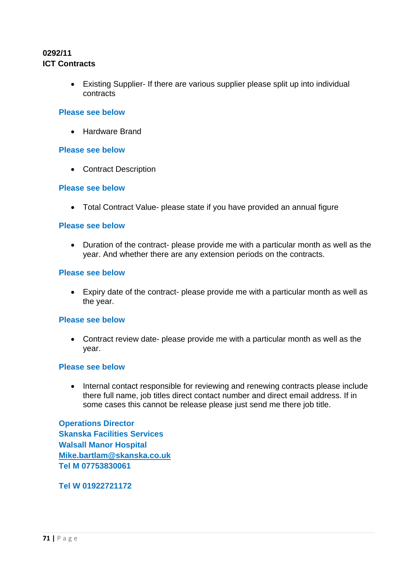## **0292/11 ICT Contracts**

• Existing Supplier- If there are various supplier please split up into individual contracts

#### **Please see below**

• Hardware Brand

#### **Please see below**

• Contract Description

#### **Please see below**

• Total Contract Value- please state if you have provided an annual figure

#### **Please see below**

• Duration of the contract- please provide me with a particular month as well as the year. And whether there are any extension periods on the contracts.

#### **Please see below**

• Expiry date of the contract- please provide me with a particular month as well as the year.

#### **Please see below**

• Contract review date- please provide me with a particular month as well as the year.

#### **Please see below**

• Internal contact responsible for reviewing and renewing contracts please include there full name, job titles direct contact number and direct email address. If in some cases this cannot be release please just send me there job title.

**Operations Director Skanska Facilities Services Walsall Manor Hospital Mike.bartlam@skanska.co.uk Tel M 07753830061** 

## **Tel W 01922721172**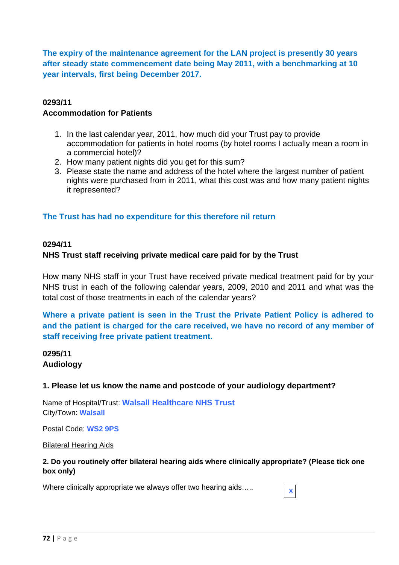**The expiry of the maintenance agreement for the LAN project is presently 30 years after steady state commencement date being May 2011, with a benchmarking at 10 year intervals, first being December 2017.** 

## **0293/11 Accommodation for Patients**

- 1. In the last calendar year, 2011, how much did your Trust pay to provide accommodation for patients in hotel rooms (by hotel rooms I actually mean a room in a commercial hotel)?
- 2. How many patient nights did you get for this sum?
- 3. Please state the name and address of the hotel where the largest number of patient nights were purchased from in 2011, what this cost was and how many patient nights it represented?

# **The Trust has had no expenditure for this therefore nil return**

## **0294/11**

# **NHS Trust staff receiving private medical care paid for by the Trust**

How many NHS staff in your Trust have received private medical treatment paid for by your NHS trust in each of the following calendar years, 2009, 2010 and 2011 and what was the total cost of those treatments in each of the calendar years?

**Where a private patient is seen in the Trust the Private Patient Policy is adhered to and the patient is charged for the care received, we have no record of any member of staff receiving free private patient treatment.** 

## **0295/11 Audiology**

## **1. Please let us know the name and postcode of your audiology department?**

Name of Hospital/Trust: **Walsall Healthcare NHS Trust** City/Town: **Walsall**

Postal Code: **WS2 9PS** 

## Bilateral Hearing Aids

## **2. Do you routinely offer bilateral hearing aids where clinically appropriate? (Please tick one box only)**

Where clinically appropriate we always offer two hearing aids.....  $\overline{\mathbf{x}}$ 

| $\mathbf{I}$<br>z. |  |  |  |  |
|--------------------|--|--|--|--|
|--------------------|--|--|--|--|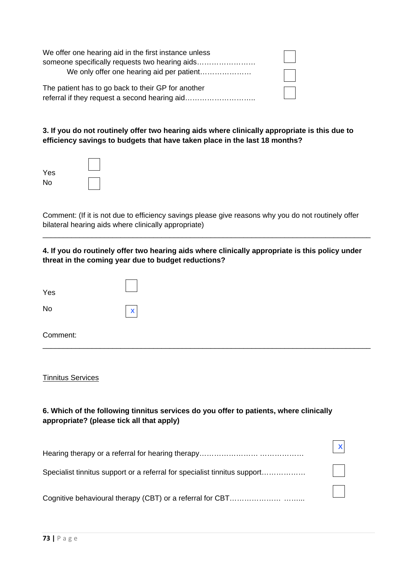| We offer one hearing aid in the first instance unless |  |
|-------------------------------------------------------|--|
| someone specifically requests two hearing aids        |  |
| We only offer one hearing aid per patient             |  |
| The patient has to go back to their GP for another    |  |
| referral if they request a second hearing aid         |  |

**3. If you do not routinely offer two hearing aids where clinically appropriate is this due to efficiency savings to budgets that have taken place in the last 18 months?** 

| Yes |  |
|-----|--|
| No  |  |

Comment: (If it is not due to efficiency savings please give reasons why you do not routinely offer bilateral hearing aids where clinically appropriate)

**4. If you do routinely offer two hearing aids where clinically appropriate is this policy under threat in the coming year due to budget reductions?**

\_\_\_\_\_\_\_\_\_\_\_\_\_\_\_\_\_\_\_\_\_\_\_\_\_\_\_\_\_\_\_\_\_\_\_\_\_\_\_\_\_\_\_\_\_\_\_\_\_\_\_\_\_\_\_\_\_\_\_\_\_\_\_\_\_\_\_\_\_\_\_\_\_\_\_\_\_\_\_\_

| Yes      |              |
|----------|--------------|
| No       | $\mathbf{x}$ |
| Comment: |              |

#### Tinnitus Services

## **6. Which of the following tinnitus services do you offer to patients, where clinically appropriate? (please tick all that apply)**

| Specialist tinnitus support or a referral for specialist tinnitus support | $\mathbf{L}$ |
|---------------------------------------------------------------------------|--------------|
|                                                                           | $\mathbf{L}$ |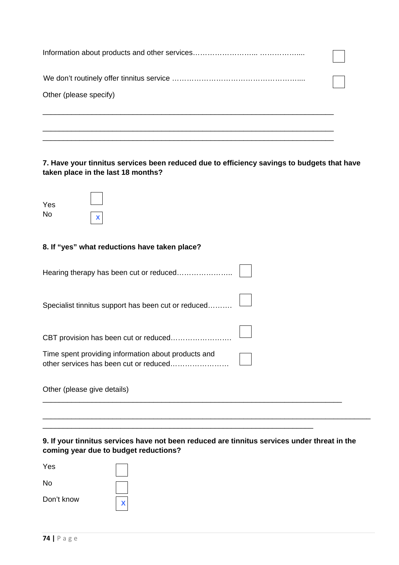| Other (please specify) |  |
|------------------------|--|
|                        |  |
|                        |  |

# **7. Have your tinnitus services been reduced due to efficiency savings to budgets that have taken place in the last 18 months?**

| Yes |   |
|-----|---|
| No  | х |

# **8. If "yes" what reductions have taken place?**

| Specialist tinnitus support has been cut or reduced |  |
|-----------------------------------------------------|--|
| CBT provision has been cut or reduced               |  |
| Time spent providing information about products and |  |
| Other (please give details)                         |  |

\_\_\_\_\_\_\_\_\_\_\_\_\_\_\_\_\_\_\_\_\_\_\_\_\_\_\_\_\_\_\_\_\_\_\_\_\_\_\_\_\_\_\_\_\_\_\_\_\_\_\_\_\_\_\_\_\_\_\_\_\_\_\_\_\_\_

#### **9. If your tinnitus services have not been reduced are tinnitus services under threat in the coming year due to budget reductions?**

\_\_\_\_\_\_\_\_\_\_\_\_\_\_\_\_\_\_\_\_\_\_\_\_\_\_\_\_\_\_\_\_\_\_\_\_\_\_\_\_\_\_\_\_\_\_\_\_\_\_\_\_\_\_\_\_\_\_\_\_\_\_\_\_\_\_\_\_\_\_\_\_\_\_\_\_\_\_\_\_

| Yes        |  |
|------------|--|
| No         |  |
| Don't know |  |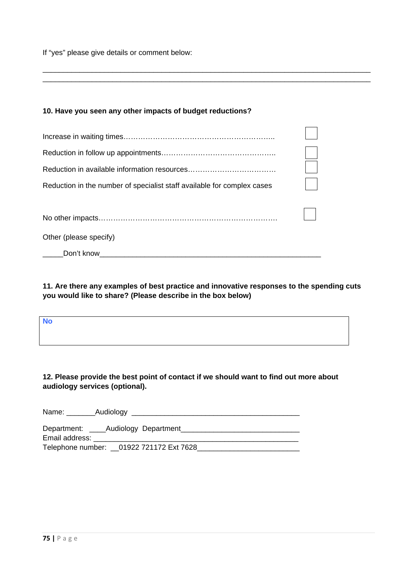If "yes" please give details or comment below:

#### **10. Have you seen any other impacts of budget reductions?**

| Reduction in the number of specialist staff available for complex cases |  |
|-------------------------------------------------------------------------|--|
|                                                                         |  |
|                                                                         |  |
| Other (please specify)                                                  |  |
| Don't know                                                              |  |

#### **11. Are there any examples of best practice and innovative responses to the spending cuts you would like to share? (Please describe in the box below)**

\_\_\_\_\_\_\_\_\_\_\_\_\_\_\_\_\_\_\_\_\_\_\_\_\_\_\_\_\_\_\_\_\_\_\_\_\_\_\_\_\_\_\_\_\_\_\_\_\_\_\_\_\_\_\_\_\_\_\_\_\_\_\_\_\_\_\_\_\_\_\_\_\_\_\_\_\_\_\_\_ \_\_\_\_\_\_\_\_\_\_\_\_\_\_\_\_\_\_\_\_\_\_\_\_\_\_\_\_\_\_\_\_\_\_\_\_\_\_\_\_\_\_\_\_\_\_\_\_\_\_\_\_\_\_\_\_\_\_\_\_\_\_\_\_\_\_\_\_\_\_\_\_\_\_\_\_\_\_\_\_

| <b>No</b> |  |
|-----------|--|
|           |  |
|           |  |

## **12. Please provide the best point of contact if we should want to find out more about audiology services (optional).**

| Name:                         | Audiology                                 |
|-------------------------------|-------------------------------------------|
| Department:<br>Email address: | Audiology Department                      |
|                               | Telephone number: __01922 721172 Ext 7628 |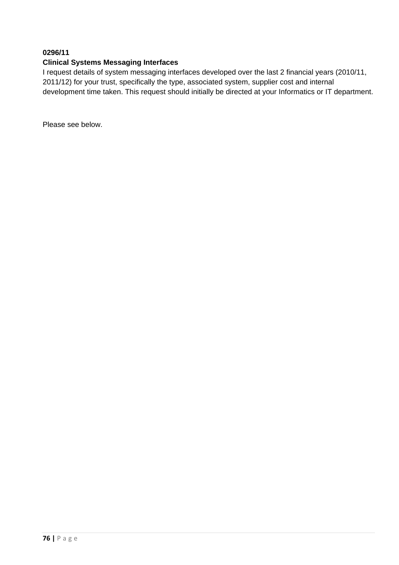## **0296/11**

#### **Clinical Systems Messaging Interfaces**

I request details of system messaging interfaces developed over the last 2 financial years (2010/11, 2011/12) for your trust, specifically the type, associated system, supplier cost and internal development time taken. This request should initially be directed at your Informatics or IT department.

Please see below.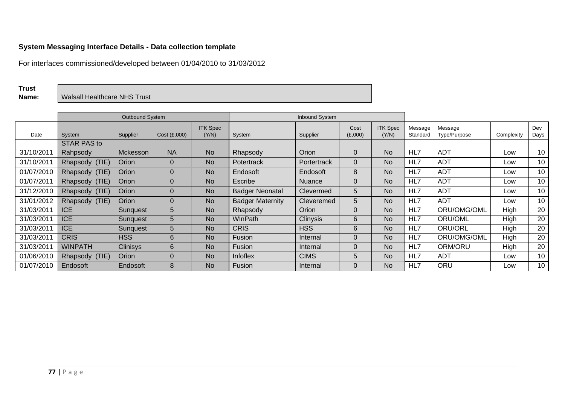#### **System Messaging Interface Details - Data collection template**

For interfaces commissioned/developed between 01/04/2010 to 31/03/2012

**Trust** 

**Name:** Walsall Healthcare NHS Trust

|            | Outbound System<br><b>Inbound System</b> |                 |              |                          |                         |                   |                 |                          |                     |                         |             |             |
|------------|------------------------------------------|-----------------|--------------|--------------------------|-------------------------|-------------------|-----------------|--------------------------|---------------------|-------------------------|-------------|-------------|
| Date       | System                                   | Supplier        | Cost (E,000) | <b>ITK Spec</b><br>(Y/N) | System                  | Supplier          | Cost<br>(E,000) | <b>ITK Spec</b><br>(Y/N) | Message<br>Standard | Message<br>Type/Purpose | Complexity  | Dev<br>Days |
|            | <b>STAR PAS to</b>                       |                 |              |                          |                         |                   |                 |                          |                     |                         |             |             |
| 31/10/201  | Rahpsody                                 | Mckesson        | <b>NA</b>    | <b>No</b>                | Rhapsody                | Orion             | $\overline{0}$  | <b>No</b>                | HL7                 | <b>ADT</b>              | Low         | 10          |
| 31/10/201  | Rhapsody (TIE)                           | Orion           | 0            | No.                      | Potertrack              | Portertrack       | $\Omega$        | No                       | HL7                 | <b>ADT</b>              | Low         | 10          |
| 01/07/2010 | Rhapsody (TIE)                           | Orion           | 0            | No.                      | Endosoft                | Endosoft          | 8               | <b>No</b>                | HL7                 | ADT                     | Low         | 10          |
| 01/07/201  | Rhapsody (TIE)                           | Orion           | 0            | <b>No</b>                | Escribe                 | <b>Nuance</b>     | $\Omega$        | <b>No</b>                | HL7                 | <b>ADT</b>              | Low         | 10          |
| 31/12/2010 | Rhapsody (TIE)                           | Orion           | 0            | No.                      | <b>Badger Neonatal</b>  | Clevermed         | 5               | <b>No</b>                | HL7                 | <b>ADT</b>              | Low         | 10          |
| 31/01/2012 | Rhapsody (TIE)                           | Orion           | 0            | No                       | <b>Badger Maternity</b> | <b>Cleveremed</b> | 5               | <b>No</b>                | HL7                 | <b>ADT</b>              | Low         | 10          |
| 31/03/2011 | <b>ICE</b>                               | Sunquest        | 5            | No.                      | Rhapsody                | Orion             | $\Omega$        | <b>No</b>                | HL7                 | ORU/OMG/OML             | High        | 20          |
| 31/03/201  | <b>ICE</b>                               | Sunquest        | 5            | <b>No</b>                | <b>WInPath</b>          | <b>Clinysis</b>   | 6               | <b>No</b>                | HL7                 | ORU/OML                 | High        | 20          |
| 31/03/201  | <b>ICE</b>                               | Sunquest        | 5            | <b>No</b>                | <b>CRIS</b>             | <b>HSS</b>        | 6               | <b>No</b>                | HL7                 | ORU/ORL                 | <b>High</b> | 20          |
| 31/03/201  | <b>CRIS</b>                              | <b>HSS</b>      | 6            | <b>No</b>                | Fusion                  | Internal          | $\Omega$        | <b>No</b>                | HL7                 | ORU/OMG/OML             | High        | 20          |
| 31/03/2011 | <b>WINPATH</b>                           | <b>Clinisys</b> | 6            | No.                      | Fusion                  | Internal          | $\Omega$        | No.                      | HL7                 | ORM/ORU                 | High        | 20          |
| 01/06/2010 | Rhapsody (TIE)                           | Orion           | 0            | <b>No</b>                | Infoflex                | <b>CIMS</b>       | 5               | No                       | HL7                 | ADT                     | Low         | 10          |
| 01/07/2010 | Endosoft                                 | Endosoft        | 8            | <b>No</b>                | Fusion                  | Internal          | $\Omega$        | <b>No</b>                | HL7                 | ORU                     | Low         | 10          |